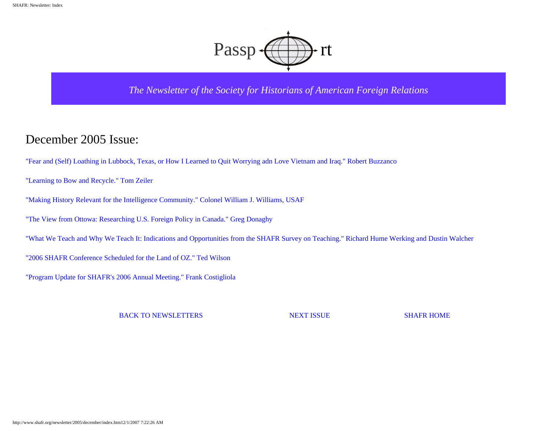

*The Newsletter of the Society for Historians of American Foreign Relations*

### December 2005 Issue:

["Fear and \(Self\) Loathing in Lubbock, Texas, or How I Learned to Quit Worrying adn Love Vietnam and Iraq." Robert Buzzanco](#page-1-0)

["Learning to Bow and Recycle." Tom Zeiler](#page-18-0)

"Making History Relevant for the Intelligence Community." Colonel William J. Williams, USAF

["The View from Ottowa: Researching U.S. Foreign Policy in Canada." Greg Donaghy](#page-22-0)

["What We Teach and Why We Teach It: Indications and Opportunities from the SHAFR Survey on Teaching." Richard Hume Werking and Dustin Walcher](#page-26-0)

["2006 SHAFR Conference Scheduled for the Land of OZ." Ted Wilson](#page-42-0)

["Program Update for SHAFR's 2006 Annual Meeting." Frank Costigliola](#page-46-0) 

BACK TO NEWSLETTERS NEXT ISSUE SHAFR HOME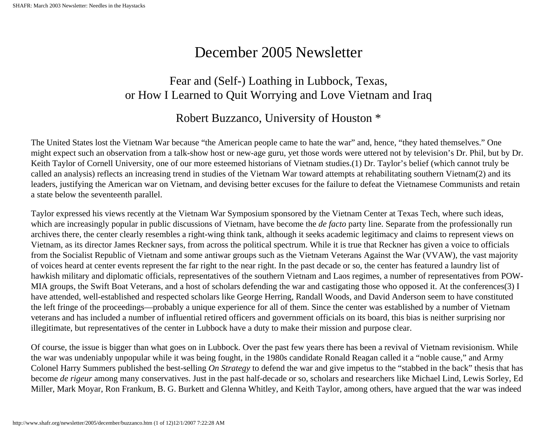# December 2005 Newsletter

## Fear and (Self-) Loathing in Lubbock, Texas, or How I Learned to Quit Worrying and Love Vietnam and Iraq

## Robert Buzzanco, University of Houston \*

<span id="page-1-0"></span>The United States lost the Vietnam War because "the American people came to hate the war" and, hence, "they hated themselves." One might expect such an observation from a talk-show host or new-age guru, yet those words were uttered not by television's Dr. Phil, but by Dr. Keith Taylor of Cornell University, one of our more esteemed historians of Vietnam studies.(1) Dr. Taylor's belief (which cannot truly be called an analysis) reflects an increasing trend in studies of the Vietnam War toward attempts at rehabilitating southern Vietnam(2) and its leaders, justifying the American war on Vietnam, and devising better excuses for the failure to defeat the Vietnamese Communists and retain a state below the seventeenth parallel.

Taylor expressed his views recently at the Vietnam War Symposium sponsored by the Vietnam Center at Texas Tech, where such ideas, which are increasingly popular in public discussions of Vietnam, have become the *de facto* party line. Separate from the professionally run archives there, the center clearly resembles a right-wing think tank, although it seeks academic legitimacy and claims to represent views on Vietnam, as its director James Reckner says, from across the political spectrum. While it is true that Reckner has given a voice to officials from the Socialist Republic of Vietnam and some antiwar groups such as the Vietnam Veterans Against the War (VVAW), the vast majority of voices heard at center events represent the far right to the near right. In the past decade or so, the center has featured a laundry list of hawkish military and diplomatic officials, representatives of the southern Vietnam and Laos regimes, a number of representatives from POW-MIA groups, the Swift Boat Veterans, and a host of scholars defending the war and castigating those who opposed it. At the conferences(3) I have attended, well-established and respected scholars like George Herring, Randall Woods, and David Anderson seem to have constituted the left fringe of the proceedings—probably a unique experience for all of them. Since the center was established by a number of Vietnam veterans and has included a number of influential retired officers and government officials on its board, this bias is neither surprising nor illegitimate, but representatives of the center in Lubbock have a duty to make their mission and purpose clear.

Of course, the issue is bigger than what goes on in Lubbock. Over the past few years there has been a revival of Vietnam revisionism. While the war was undeniably unpopular while it was being fought, in the 1980s candidate Ronald Reagan called it a "noble cause," and Army Colonel Harry Summers published the best-selling *On Strategy* to defend the war and give impetus to the "stabbed in the back" thesis that has become *de rigeur* among many conservatives. Just in the past half-decade or so, scholars and researchers like Michael Lind, Lewis Sorley, Ed Miller, Mark Moyar, Ron Frankum, B. G. Burkett and Glenna Whitley, and Keith Taylor, among others, have argued that the war was indeed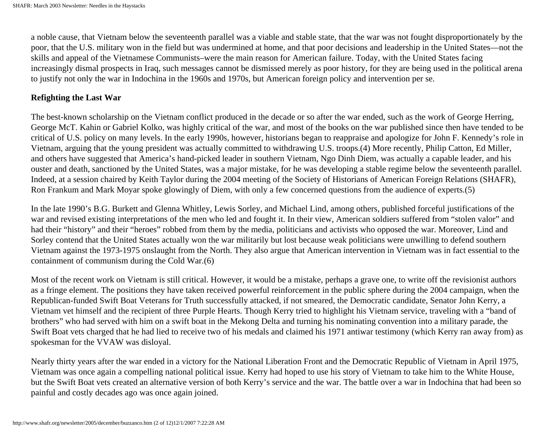a noble cause, that Vietnam below the seventeenth parallel was a viable and stable state, that the war was not fought disproportionately by the poor, that the U.S. military won in the field but was undermined at home, and that poor decisions and leadership in the United States—not the skills and appeal of the Vietnamese Communists–were the main reason for American failure. Today, with the United States facing increasingly dismal prospects in Iraq, such messages cannot be dismissed merely as poor history, for they are being used in the political arena to justify not only the war in Indochina in the 1960s and 1970s, but American foreign policy and intervention per se.

#### **Refighting the Last War**

The best-known scholarship on the Vietnam conflict produced in the decade or so after the war ended, such as the work of George Herring, George McT. Kahin or Gabriel Kolko, was highly critical of the war, and most of the books on the war published since then have tended to be critical of U.S. policy on many levels. In the early 1990s, however, historians began to reappraise and apologize for John F. Kennedy's role in Vietnam, arguing that the young president was actually committed to withdrawing U.S. troops.(4) More recently, Philip Catton, Ed Miller, and others have suggested that America's hand-picked leader in southern Vietnam, Ngo Dinh Diem, was actually a capable leader, and his ouster and death, sanctioned by the United States, was a major mistake, for he was developing a stable regime below the seventeenth parallel. Indeed, at a session chaired by Keith Taylor during the 2004 meeting of the Society of Historians of American Foreign Relations (SHAFR), Ron Frankum and Mark Moyar spoke glowingly of Diem, with only a few concerned questions from the audience of experts.(5)

In the late 1990's B.G. Burkett and Glenna Whitley, Lewis Sorley, and Michael Lind, among others, published forceful justifications of the war and revised existing interpretations of the men who led and fought it. In their view, American soldiers suffered from "stolen valor" and had their "history" and their "heroes" robbed from them by the media, politicians and activists who opposed the war. Moreover, Lind and Sorley contend that the United States actually won the war militarily but lost because weak politicians were unwilling to defend southern Vietnam against the 1973-1975 onslaught from the North. They also argue that American intervention in Vietnam was in fact essential to the containment of communism during the Cold War.(6)

Most of the recent work on Vietnam is still critical. However, it would be a mistake, perhaps a grave one, to write off the revisionist authors as a fringe element. The positions they have taken received powerful reinforcement in the public sphere during the 2004 campaign, when the Republican-funded Swift Boat Veterans for Truth successfully attacked, if not smeared, the Democratic candidate, Senator John Kerry, a Vietnam vet himself and the recipient of three Purple Hearts. Though Kerry tried to highlight his Vietnam service, traveling with a "band of brothers" who had served with him on a swift boat in the Mekong Delta and turning his nominating convention into a military parade, the Swift Boat vets charged that he had lied to receive two of his medals and claimed his 1971 antiwar testimony (which Kerry ran away from) as spokesman for the VVAW was disloyal.

Nearly thirty years after the war ended in a victory for the National Liberation Front and the Democratic Republic of Vietnam in April 1975, Vietnam was once again a compelling national political issue. Kerry had hoped to use his story of Vietnam to take him to the White House, but the Swift Boat vets created an alternative version of both Kerry's service and the war. The battle over a war in Indochina that had been so painful and costly decades ago was once again joined.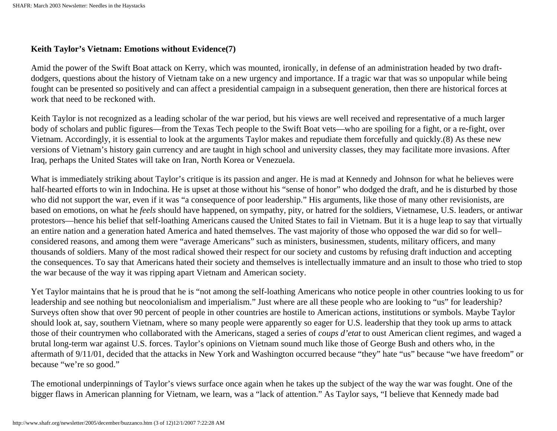#### **Keith Taylor's Vietnam: Emotions without Evidence(7)**

Amid the power of the Swift Boat attack on Kerry, which was mounted, ironically, in defense of an administration headed by two draftdodgers, questions about the history of Vietnam take on a new urgency and importance. If a tragic war that was so unpopular while being fought can be presented so positively and can affect a presidential campaign in a subsequent generation, then there are historical forces at work that need to be reckoned with.

Keith Taylor is not recognized as a leading scholar of the war period, but his views are well received and representative of a much larger body of scholars and public figures—from the Texas Tech people to the Swift Boat vets—who are spoiling for a fight, or a re-fight, over Vietnam. Accordingly, it is essential to look at the arguments Taylor makes and repudiate them forcefully and quickly.(8) As these new versions of Vietnam's history gain currency and are taught in high school and university classes, they may facilitate more invasions. After Iraq, perhaps the United States will take on Iran, North Korea or Venezuela.

What is immediately striking about Taylor's critique is its passion and anger. He is mad at Kennedy and Johnson for what he believes were half-hearted efforts to win in Indochina. He is upset at those without his "sense of honor" who dodged the draft, and he is disturbed by those who did not support the war, even if it was "a consequence of poor leadership." His arguments, like those of many other revisionists, are based on emotions, on what he *feels* should have happened, on sympathy, pity, or hatred for the soldiers, Vietnamese, U.S. leaders, or antiwar protestors—hence his belief that self-loathing Americans caused the United States to fail in Vietnam. But it is a huge leap to say that virtually an entire nation and a generation hated America and hated themselves. The vast majority of those who opposed the war did so for well– considered reasons, and among them were "average Americans" such as ministers, businessmen, students, military officers, and many thousands of soldiers. Many of the most radical showed their respect for our society and customs by refusing draft induction and accepting the consequences. To say that Americans hated their society and themselves is intellectually immature and an insult to those who tried to stop the war because of the way it was ripping apart Vietnam and American society.

Yet Taylor maintains that he is proud that he is "not among the self-loathing Americans who notice people in other countries looking to us for leadership and see nothing but neocolonialism and imperialism." Just where are all these people who are looking to "us" for leadership? Surveys often show that over 90 percent of people in other countries are hostile to American actions, institutions or symbols. Maybe Taylor should look at, say, southern Vietnam, where so many people were apparently so eager for U.S. leadership that they took up arms to attack those of their countrymen who collaborated with the Americans, staged a series of *coups d'etat* to oust American client regimes, and waged a brutal long-term war against U.S. forces. Taylor's opinions on Vietnam sound much like those of George Bush and others who, in the aftermath of 9/11/01, decided that the attacks in New York and Washington occurred because "they" hate "us" because "we have freedom" or because "we're so good."

The emotional underpinnings of Taylor's views surface once again when he takes up the subject of the way the war was fought. One of the bigger flaws in American planning for Vietnam, we learn, was a "lack of attention." As Taylor says, "I believe that Kennedy made bad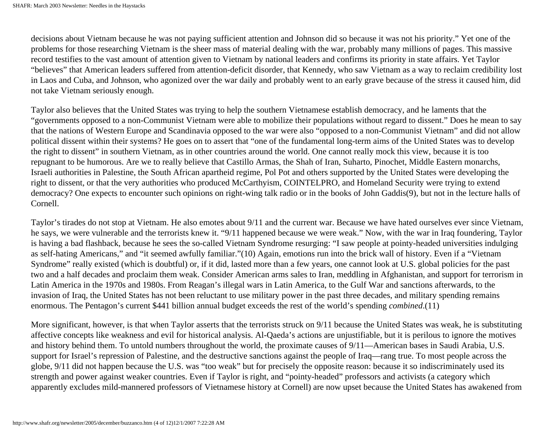decisions about Vietnam because he was not paying sufficient attention and Johnson did so because it was not his priority." Yet one of the problems for those researching Vietnam is the sheer mass of material dealing with the war, probably many millions of pages. This massive record testifies to the vast amount of attention given to Vietnam by national leaders and confirms its priority in state affairs. Yet Taylor "believes" that American leaders suffered from attention-deficit disorder, that Kennedy, who saw Vietnam as a way to reclaim credibility lost in Laos and Cuba, and Johnson, who agonized over the war daily and probably went to an early grave because of the stress it caused him, did not take Vietnam seriously enough.

Taylor also believes that the United States was trying to help the southern Vietnamese establish democracy, and he laments that the "governments opposed to a non-Communist Vietnam were able to mobilize their populations without regard to dissent." Does he mean to say that the nations of Western Europe and Scandinavia opposed to the war were also "opposed to a non-Communist Vietnam" and did not allow political dissent within their systems? He goes on to assert that "one of the fundamental long-term aims of the United States was to develop the right to dissent" in southern Vietnam, as in other countries around the world. One cannot really mock this view, because it is too repugnant to be humorous. Are we to really believe that Castillo Armas, the Shah of Iran, Suharto, Pinochet, Middle Eastern monarchs, Israeli authorities in Palestine, the South African apartheid regime, Pol Pot and others supported by the United States were developing the right to dissent, or that the very authorities who produced McCarthyism, COINTELPRO, and Homeland Security were trying to extend democracy? One expects to encounter such opinions on right-wing talk radio or in the books of John Gaddis(9), but not in the lecture halls of Cornell.

Taylor's tirades do not stop at Vietnam. He also emotes about 9/11 and the current war. Because we have hated ourselves ever since Vietnam, he says, we were vulnerable and the terrorists knew it. "9/11 happened because we were weak." Now, with the war in Iraq foundering, Taylor is having a bad flashback, because he sees the so-called Vietnam Syndrome resurging: "I saw people at pointy-headed universities indulging as self-hating Americans," and "it seemed awfully familiar."(10) Again, emotions run into the brick wall of history. Even if a "Vietnam Syndrome" really existed (which is doubtful) or, if it did, lasted more than a few years, one cannot look at U.S. global policies for the past two and a half decades and proclaim them weak. Consider American arms sales to Iran, meddling in Afghanistan, and support for terrorism in Latin America in the 1970s and 1980s. From Reagan's illegal wars in Latin America, to the Gulf War and sanctions afterwards, to the invasion of Iraq, the United States has not been reluctant to use military power in the past three decades, and military spending remains enormous. The Pentagon's current \$441 billion annual budget exceeds the rest of the world's spending *combined*.(11)

More significant, however, is that when Taylor asserts that the terrorists struck on 9/11 because the United States was weak, he is substituting affective concepts like weakness and evil for historical analysis. Al-Qaeda's actions are unjustifiable, but it is perilous to ignore the motives and history behind them. To untold numbers throughout the world, the proximate causes of 9/11—American bases in Saudi Arabia, U.S. support for Israel's repression of Palestine, and the destructive sanctions against the people of Iraq—rang true. To most people across the globe, 9/11 did not happen because the U.S. was "too weak" but for precisely the opposite reason: because it so indiscriminately used its strength and power against weaker countries. Even if Taylor is right, and "pointy-headed" professors and activists (a category which apparently excludes mild-mannered professors of Vietnamese history at Cornell) are now upset because the United States has awakened from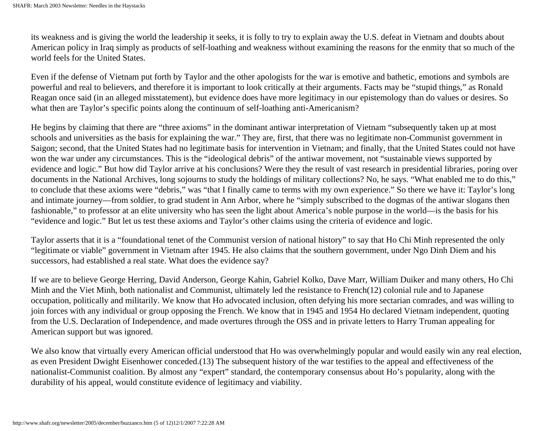its weakness and is giving the world the leadership it seeks, it is folly to try to explain away the U.S. defeat in Vietnam and doubts about American policy in Iraq simply as products of self-loathing and weakness without examining the reasons for the enmity that so much of the world feels for the United States.

Even if the defense of Vietnam put forth by Taylor and the other apologists for the war is emotive and bathetic, emotions and symbols are powerful and real to believers, and therefore it is important to look critically at their arguments. Facts may be "stupid things," as Ronald Reagan once said (in an alleged misstatement), but evidence does have more legitimacy in our epistemology than do values or desires. So what then are Taylor's specific points along the continuum of self-loathing anti-Americanism?

He begins by claiming that there are "three axioms" in the dominant antiwar interpretation of Vietnam "subsequently taken up at most schools and universities as the basis for explaining the war." They are, first, that there was no legitimate non-Communist government in Saigon; second, that the United States had no legitimate basis for intervention in Vietnam; and finally, that the United States could not have won the war under any circumstances. This is the "ideological debris" of the antiwar movement, not "sustainable views supported by evidence and logic." But how did Taylor arrive at his conclusions? Were they the result of vast research in presidential libraries, poring over documents in the National Archives, long sojourns to study the holdings of military collections? No, he says. "What enabled me to do this," to conclude that these axioms were "debris," was "that I finally came to terms with my own experience." So there we have it: Taylor's long and intimate journey—from soldier, to grad student in Ann Arbor, where he "simply subscribed to the dogmas of the antiwar slogans then fashionable," to professor at an elite university who has seen the light about America's noble purpose in the world—is the basis for his "evidence and logic." But let us test these axioms and Taylor's other claims using the criteria of evidence and logic.

Taylor asserts that it is a "foundational tenet of the Communist version of national history" to say that Ho Chi Minh represented the only "legitimate or viable" government in Vietnam after 1945. He also claims that the southern government, under Ngo Dinh Diem and his successors, had established a real state. What does the evidence say?

If we are to believe George Herring, David Anderson, George Kahin, Gabriel Kolko, Dave Marr, William Duiker and many others, Ho Chi Minh and the Viet Minh, both nationalist and Communist, ultimately led the resistance to French(12) colonial rule and to Japanese occupation, politically and militarily. We know that Ho advocated inclusion, often defying his more sectarian comrades, and was willing to join forces with any individual or group opposing the French. We know that in 1945 and 1954 Ho declared Vietnam independent, quoting from the U.S. Declaration of Independence, and made overtures through the OSS and in private letters to Harry Truman appealing for American support but was ignored.

We also know that virtually every American official understood that Ho was overwhelmingly popular and would easily win any real election, as even President Dwight Eisenhower conceded.(13) The subsequent history of the war testifies to the appeal and effectiveness of the nationalist-Communist coalition. By almost any "expert" standard, the contemporary consensus about Ho's popularity, along with the durability of his appeal, would constitute evidence of legitimacy and viability.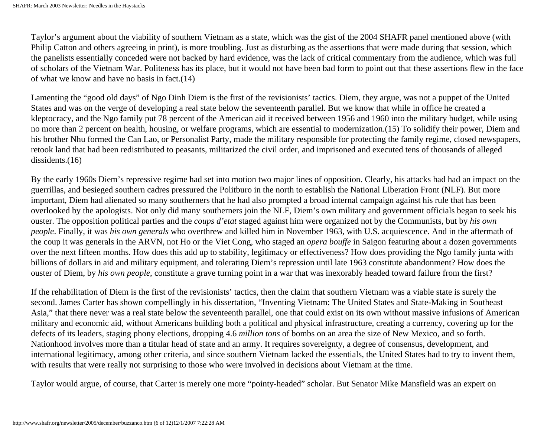Taylor's argument about the viability of southern Vietnam as a state, which was the gist of the 2004 SHAFR panel mentioned above (with Philip Catton and others agreeing in print), is more troubling. Just as disturbing as the assertions that were made during that session, which the panelists essentially conceded were not backed by hard evidence, was the lack of critical commentary from the audience, which was full of scholars of the Vietnam War. Politeness has its place, but it would not have been bad form to point out that these assertions flew in the face of what we know and have no basis in fact.(14)

Lamenting the "good old days" of Ngo Dinh Diem is the first of the revisionists' tactics. Diem, they argue, was not a puppet of the United States and was on the verge of developing a real state below the seventeenth parallel. But we know that while in office he created a kleptocracy, and the Ngo family put 78 percent of the American aid it received between 1956 and 1960 into the military budget, while using no more than 2 percent on health, housing, or welfare programs, which are essential to modernization.(15) To solidify their power, Diem and his brother Nhu formed the Can Lao, or Personalist Party, made the military responsible for protecting the family regime, closed newspapers, retook land that had been redistributed to peasants, militarized the civil order, and imprisoned and executed tens of thousands of alleged dissidents.(16)

By the early 1960s Diem's repressive regime had set into motion two major lines of opposition. Clearly, his attacks had had an impact on the guerrillas, and besieged southern cadres pressured the Politburo in the north to establish the National Liberation Front (NLF). But more important, Diem had alienated so many southerners that he had also prompted a broad internal campaign against his rule that has been overlooked by the apologists. Not only did many southerners join the NLF, Diem's own military and government officials began to seek his ouster. The opposition political parties and the *coups d'etat* staged against him were organized not by the Communists, but by *his own people*. Finally, it was *his own generals* who overthrew and killed him in November 1963, with U.S. acquiescence. And in the aftermath of the coup it was generals in the ARVN, not Ho or the Viet Cong, who staged an *opera bouffe* in Saigon featuring about a dozen governments over the next fifteen months. How does this add up to stability, legitimacy or effectiveness? How does providing the Ngo family junta with billions of dollars in aid and military equipment, and tolerating Diem's repression until late 1963 constitute abandonment? How does the ouster of Diem, by *his own people*, constitute a grave turning point in a war that was inexorably headed toward failure from the first?

If the rehabilitation of Diem is the first of the revisionists' tactics, then the claim that southern Vietnam was a viable state is surely the second. James Carter has shown compellingly in his dissertation, "Inventing Vietnam: The United States and State-Making in Southeast Asia," that there never was a real state below the seventeenth parallel, one that could exist on its own without massive infusions of American military and economic aid, without Americans building both a political and physical infrastructure, creating a currency, covering up for the defects of its leaders, staging phony elections, dropping 4.6 *million tons* of bombs on an area the size of New Mexico, and so forth. Nationhood involves more than a titular head of state and an army. It requires sovereignty, a degree of consensus, development, and international legitimacy, among other criteria, and since southern Vietnam lacked the essentials, the United States had to try to invent them, with results that were really not surprising to those who were involved in decisions about Vietnam at the time.

Taylor would argue, of course, that Carter is merely one more "pointy-headed" scholar. But Senator Mike Mansfield was an expert on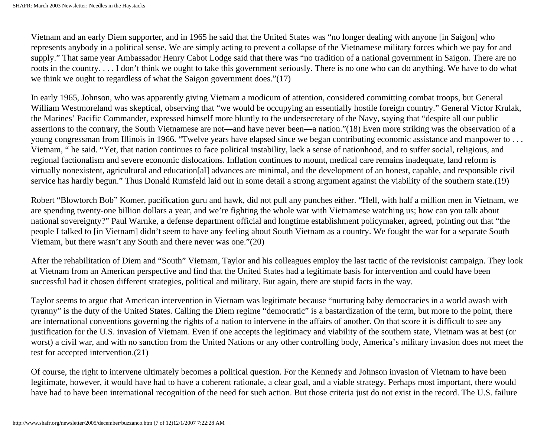Vietnam and an early Diem supporter, and in 1965 he said that the United States was "no longer dealing with anyone [in Saigon] who represents anybody in a political sense. We are simply acting to prevent a collapse of the Vietnamese military forces which we pay for and supply." That same year Ambassador Henry Cabot Lodge said that there was "no tradition of a national government in Saigon. There are no roots in the country. . . . I don't think we ought to take this government seriously. There is no one who can do anything. We have to do what we think we ought to regardless of what the Saigon government does."(17)

In early 1965, Johnson, who was apparently giving Vietnam a modicum of attention, considered committing combat troops, but General William Westmoreland was skeptical, observing that "we would be occupying an essentially hostile foreign country." General Victor Krulak, the Marines' Pacific Commander, expressed himself more bluntly to the undersecretary of the Navy, saying that "despite all our public assertions to the contrary, the South Vietnamese are not—and have never been—a nation."(18) Even more striking was the observation of a young congressman from Illinois in 1966. "Twelve years have elapsed since we began contributing economic assistance and manpower to . . . Vietnam, " he said. "Yet, that nation continues to face political instability, lack a sense of nationhood, and to suffer social, religious, and regional factionalism and severe economic dislocations. Inflation continues to mount, medical care remains inadequate, land reform is virtually nonexistent, agricultural and education[al] advances are minimal, and the development of an honest, capable, and responsible civil service has hardly begun." Thus Donald Rumsfeld laid out in some detail a strong argument against the viability of the southern state.(19)

Robert "Blowtorch Bob" Komer, pacification guru and hawk, did not pull any punches either. "Hell, with half a million men in Vietnam, we are spending twenty-one billion dollars a year, and we're fighting the whole war with Vietnamese watching us; how can you talk about national sovereignty?" Paul Warnke, a defense department official and longtime establishment policymaker, agreed, pointing out that "the people I talked to [in Vietnam] didn't seem to have any feeling about South Vietnam as a country. We fought the war for a separate South Vietnam, but there wasn't any South and there never was one."(20)

After the rehabilitation of Diem and "South" Vietnam, Taylor and his colleagues employ the last tactic of the revisionist campaign. They look at Vietnam from an American perspective and find that the United States had a legitimate basis for intervention and could have been successful had it chosen different strategies, political and military. But again, there are stupid facts in the way.

Taylor seems to argue that American intervention in Vietnam was legitimate because "nurturing baby democracies in a world awash with tyranny" is the duty of the United States. Calling the Diem regime "democratic" is a bastardization of the term, but more to the point, there are international conventions governing the rights of a nation to intervene in the affairs of another. On that score it is difficult to see any justification for the U.S. invasion of Vietnam. Even if one accepts the legitimacy and viability of the southern state, Vietnam was at best (or worst) a civil war, and with no sanction from the United Nations or any other controlling body, America's military invasion does not meet the test for accepted intervention.(21)

Of course, the right to intervene ultimately becomes a political question. For the Kennedy and Johnson invasion of Vietnam to have been legitimate, however, it would have had to have a coherent rationale, a clear goal, and a viable strategy. Perhaps most important, there would have had to have been international recognition of the need for such action. But those criteria just do not exist in the record. The U.S. failure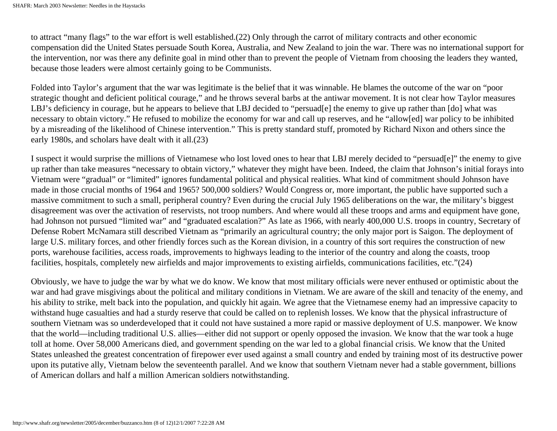to attract "many flags" to the war effort is well established.(22) Only through the carrot of military contracts and other economic compensation did the United States persuade South Korea, Australia, and New Zealand to join the war. There was no international support for the intervention, nor was there any definite goal in mind other than to prevent the people of Vietnam from choosing the leaders they wanted, because those leaders were almost certainly going to be Communists.

Folded into Taylor's argument that the war was legitimate is the belief that it was winnable. He blames the outcome of the war on "poor strategic thought and deficient political courage," and he throws several barbs at the antiwar movement. It is not clear how Taylor measures LBJ's deficiency in courage, but he appears to believe that LBJ decided to "persuad[e] the enemy to give up rather than [do] what was necessary to obtain victory." He refused to mobilize the economy for war and call up reserves, and he "allow[ed] war policy to be inhibited by a misreading of the likelihood of Chinese intervention." This is pretty standard stuff, promoted by Richard Nixon and others since the early 1980s, and scholars have dealt with it all.(23)

I suspect it would surprise the millions of Vietnamese who lost loved ones to hear that LBJ merely decided to "persuad[e]" the enemy to give up rather than take measures "necessary to obtain victory," whatever they might have been. Indeed, the claim that Johnson's initial forays into Vietnam were "gradual" or "limited" ignores fundamental political and physical realities. What kind of commitment should Johnson have made in those crucial months of 1964 and 1965? 500,000 soldiers? Would Congress or, more important, the public have supported such a massive commitment to such a small, peripheral country? Even during the crucial July 1965 deliberations on the war, the military's biggest disagreement was over the activation of reservists, not troop numbers. And where would all these troops and arms and equipment have gone, had Johnson not pursued "limited war" and "graduated escalation?" As late as 1966, with nearly 400,000 U.S. troops in country, Secretary of Defense Robert McNamara still described Vietnam as "primarily an agricultural country; the only major port is Saigon. The deployment of large U.S. military forces, and other friendly forces such as the Korean division, in a country of this sort requires the construction of new ports, warehouse facilities, access roads, improvements to highways leading to the interior of the country and along the coasts, troop facilities, hospitals, completely new airfields and major improvements to existing airfields, communications facilities, etc."(24)

Obviously, we have to judge the war by what we do know. We know that most military officials were never enthused or optimistic about the war and had grave misgivings about the political and military conditions in Vietnam. We are aware of the skill and tenacity of the enemy, and his ability to strike, melt back into the population, and quickly hit again. We agree that the Vietnamese enemy had an impressive capacity to withstand huge casualties and had a sturdy reserve that could be called on to replenish losses. We know that the physical infrastructure of southern Vietnam was so underdeveloped that it could not have sustained a more rapid or massive deployment of U.S. manpower. We know that the world—including traditional U.S. allies—either did not support or openly opposed the invasion. We know that the war took a huge toll at home. Over 58,000 Americans died, and government spending on the war led to a global financial crisis. We know that the United States unleashed the greatest concentration of firepower ever used against a small country and ended by training most of its destructive power upon its putative ally, Vietnam below the seventeenth parallel. And we know that southern Vietnam never had a stable government, billions of American dollars and half a million American soldiers notwithstanding.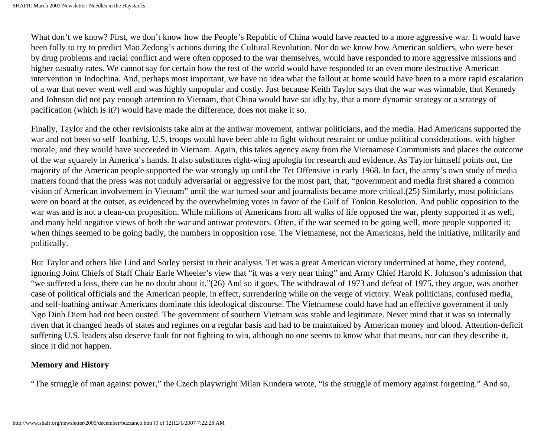What don't we know? First, we don't know how the People's Republic of China would have reacted to a more aggressive war. It would have been folly to try to predict Mao Zedong's actions during the Cultural Revolution. Nor do we know how American soldiers, who were beset by drug problems and racial conflict and were often opposed to the war themselves, would have responded to more aggressive missions and higher casualty rates. We cannot say for certain how the rest of the world would have responded to an even more destructive American intervention in Indochina. And, perhaps most important, we have no idea what the fallout at home would have been to a more rapid escalation of a war that never went well and was highly unpopular and costly. Just because Keith Taylor says that the war was winnable, that Kennedy and Johnson did not pay enough attention to Vietnam, that China would have sat idly by, that a more dynamic strategy or a strategy of pacification (which is it?) would have made the difference, does not make it so.

Finally, Taylor and the other revisionists take aim at the antiwar movement, antiwar politicians, and the media. Had Americans supported the war and not been so self–loathing, U.S. troops would have been able to fight without restraint or undue political considerations, with higher morale, and they would have succeeded in Vietnam. Again, this takes agency away from the Vietnamese Communists and places the outcome of the war squarely in America's hands. It also substitutes right-wing apologia for research and evidence. As Taylor himself points out, the majority of the American people supported the war strongly up until the Tet Offensive in early 1968. In fact, the army's own study of media matters found that the press was not unduly adversarial or aggressive for the most part, that, "government and media first shared a common vision of American involvement in Vietnam" until the war turned sour and journalists became more critical.(25) Similarly, most politicians were on board at the outset, as evidenced by the overwhelming votes in favor of the Gulf of Tonkin Resolution. And public opposition to the war was and is not a clean-cut proposition. While millions of Americans from all walks of life opposed the war, plenty supported it as well, and many held negative views of both the war and antiwar protestors. Often, if the war seemed to be going well, more people supported it; when things seemed to be going badly, the numbers in opposition rose. The Vietnamese, not the Americans, held the initiative, militarily and politically.

But Taylor and others like Lind and Sorley persist in their analysis. Tet was a great American victory undermined at home, they contend, ignoring Joint Chiefs of Staff Chair Earle Wheeler's view that "it was a very near thing" and Army Chief Harold K. Johnson's admission that "we suffered a loss, there can be no doubt about it."(26) And so it goes. The withdrawal of 1973 and defeat of 1975, they argue, was another case of political officials and the American people, in effect, surrendering while on the verge of victory. Weak politicians, confused media, and self-loathing antiwar Americans dominate this ideological discourse. The Vietnamese could have had an effective government if only Ngo Dinh Diem had not been ousted. The government of southern Vietnam was stable and legitimate. Never mind that it was so internally riven that it changed heads of states and regimes on a regular basis and had to be maintained by American money and blood. Attention-deficit suffering U.S. leaders also deserve fault for not fighting to win, although no one seems to know what that means, nor can they describe it, since it did not happen.

#### **Memory and History**

"The struggle of man against power," the Czech playwright Milan Kundera wrote, "is the struggle of memory against forgetting." And so,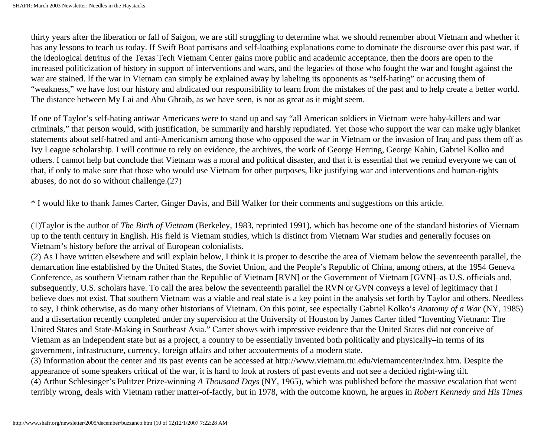thirty years after the liberation or fall of Saigon, we are still struggling to determine what we should remember about Vietnam and whether it has any lessons to teach us today. If Swift Boat partisans and self-loathing explanations come to dominate the discourse over this past war, if the ideological detritus of the Texas Tech Vietnam Center gains more public and academic acceptance, then the doors are open to the increased politicization of history in support of interventions and wars, and the legacies of those who fought the war and fought against the war are stained. If the war in Vietnam can simply be explained away by labeling its opponents as "self-hating" or accusing them of "weakness," we have lost our history and abdicated our responsibility to learn from the mistakes of the past and to help create a better world. The distance between My Lai and Abu Ghraib, as we have seen, is not as great as it might seem.

If one of Taylor's self-hating antiwar Americans were to stand up and say "all American soldiers in Vietnam were baby-killers and war criminals," that person would, with justification, be summarily and harshly repudiated. Yet those who support the war can make ugly blanket statements about self-hatred and anti-Americanism among those who opposed the war in Vietnam or the invasion of Iraq and pass them off as Ivy League scholarship. I will continue to rely on evidence, the archives, the work of George Herring, George Kahin, Gabriel Kolko and others. I cannot help but conclude that Vietnam was a moral and political disaster, and that it is essential that we remind everyone we can of that, if only to make sure that those who would use Vietnam for other purposes, like justifying war and interventions and human-rights abuses, do not do so without challenge.(27)

\* I would like to thank James Carter, Ginger Davis, and Bill Walker for their comments and suggestions on this article.

(1)Taylor is the author of *The Birth of Vietnam* (Berkeley, 1983, reprinted 1991), which has become one of the standard histories of Vietnam up to the tenth century in English. His field is Vietnam studies, which is distinct from Vietnam War studies and generally focuses on Vietnam's history before the arrival of European colonialists.

(2) As I have written elsewhere and will explain below, I think it is proper to describe the area of Vietnam below the seventeenth parallel, the demarcation line established by the United States, the Soviet Union, and the People's Republic of China, among others, at the 1954 Geneva Conference, as southern Vietnam rather than the Republic of Vietnam [RVN] or the Government of Vietnam [GVN]–as U.S. officials and, subsequently, U.S. scholars have. To call the area below the seventeenth parallel the RVN or GVN conveys a level of legitimacy that I believe does not exist. That southern Vietnam was a viable and real state is a key point in the analysis set forth by Taylor and others. Needless to say, I think otherwise, as do many other historians of Vietnam. On this point, see especially Gabriel Kolko's *Anatomy of a War* (NY, 1985) and a dissertation recently completed under my supervision at the University of Houston by James Carter titled "Inventing Vietnam: The United States and State-Making in Southeast Asia." Carter shows with impressive evidence that the United States did not conceive of Vietnam as an independent state but as a project, a country to be essentially invented both politically and physically–in terms of its government, infrastructure, currency, foreign affairs and other accouterments of a modern state.

(3) Information about the center and its past events can be accessed at http://www.vietnam.ttu.edu/vietnamcenter/index.htm. Despite the appearance of some speakers critical of the war, it is hard to look at rosters of past events and not see a decided right-wing tilt. (4) Arthur Schlesinger's Pulitzer Prize-winning *A Thousand Days* (NY, 1965), which was published before the massive escalation that went terribly wrong, deals with Vietnam rather matter-of-factly, but in 1978, with the outcome known, he argues in *Robert Kennedy and His Times*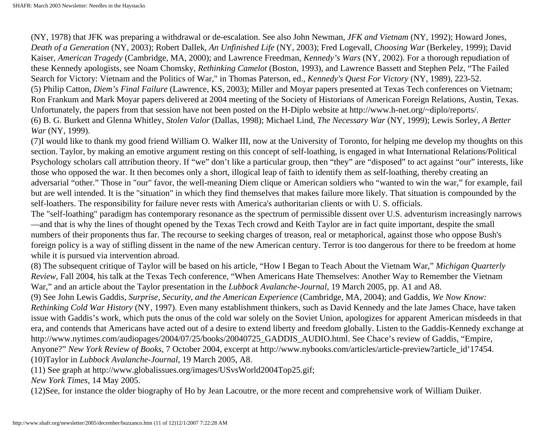(NY, 1978) that JFK was preparing a withdrawal or de-escalation. See also John Newman, *JFK and Vietnam* (NY, 1992); Howard Jones, *Death of a Generation* (NY, 2003); Robert Dallek, *An Unfinished Life* (NY, 2003); Fred Logevall, *Choosing War* (Berkeley, 1999); David Kaiser, *American Tragedy* (Cambridge, MA, 2000); and Lawrence Freedman, *Kennedy's Wars* (NY, 2002). For a thorough repudiation of these Kennedy apologists, see Noam Chomsky, *Rethinking Camelot* (Boston, 1993), and Lawrence Bassett and Stephen Pelz, "The Failed Search for Victory: Vietnam and the Politics of War," in Thomas Paterson, ed., *Kennedy's Quest For Victory* (NY, 1989), 223-52. (5) Philip Catton, *Diem's Final Failure* (Lawrence, KS, 2003); Miller and Moyar papers presented at Texas Tech conferences on Vietnam; Ron Frankum and Mark Moyar papers delivered at 2004 meeting of the Society of Historians of American Foreign Relations, Austin, Texas. Unfortunately, the papers from that session have not been posted on the H-Diplo website at http://www.h-net.org/~diplo/reports/. (6) B. G. Burkett and Glenna Whitley, *Stolen Valor* (Dallas, 1998); Michael Lind, *The Necessary War* (NY, 1999); Lewis Sorley, *A Better War* (NY, 1999).

(7)I would like to thank my good friend William O. Walker III, now at the University of Toronto, for helping me develop my thoughts on this section. Taylor, by making an emotive argument resting on this concept of self-loathing, is engaged in what International Relations/Political Psychology scholars call attribution theory. If "we" don't like a particular group, then "they" are "disposed" to act against "our" interests, like those who opposed the war. It then becomes only a short, illogical leap of faith to identify them as self-loathing, thereby creating an adversarial "other." Those in "our" favor, the well-meaning Diem clique or American soldiers who "wanted to win the war," for example, fail but are well intended. It is the "situation" in which they find themselves that makes failure more likely. That situation is compounded by the self-loathers. The responsibility for failure never rests with America's authoritarian clients or with U. S. officials.

The "self-loathing" paradigm has contemporary resonance as the spectrum of permissible dissent over U.S. adventurism increasingly narrows —and that is why the lines of thought opened by the Texas Tech crowd and Keith Taylor are in fact quite important, despite the small numbers of their proponents thus far. The recourse to seeking charges of treason, real or metaphorical, against those who oppose Bush's foreign policy is a way of stifling dissent in the name of the new American century. Terror is too dangerous for there to be freedom at home while it is pursued via intervention abroad.

(8) The subsequent critique of Taylor will be based on his article, "How I Began to Teach About the Vietnam War," *Michigan Quarterly Review*, Fall 2004, his talk at the Texas Tech conference, "When Americans Hate Themselves: Another Way to Remember the Vietnam War," and an article about the Taylor presentation in the *Lubbock Avalanche-Journal*, 19 March 2005, pp. A1 and A8.

(9) See John Lewis Gaddis, *Surprise, Security, and the American Experience* (Cambridge, MA, 2004); and Gaddis, *We Now Know: Rethinking Cold War History* (NY, 1997). Even many establishment thinkers, such as David Kennedy and the late James Chace, have taken issue with Gaddis's work, which puts the onus of the cold war solely on the Soviet Union, apologizes for apparent American misdeeds in that era, and contends that Americans have acted out of a desire to extend liberty and freedom globally. Listen to the Gaddis-Kennedy exchange at http://www.nytimes.com/audiopages/2004/07/25/books/20040725\_GADDIS\_AUDIO.html. See Chace's review of Gaddis, "Empire, Anyone?" *New York Review of Books*, 7 October 2004, excerpt at http://www.nybooks.com/articles/article-preview?article\_id'17454. (10)Taylor in *Lubbock Avalanche-Journal*, 19 March 2005, A8.

(11) See graph at http://www.globalissues.org/images/USvsWorld2004Top25.gif;

*New York Times*, 14 May 2005.

(12)See, for instance the older biography of Ho by Jean Lacoutre, or the more recent and comprehensive work of William Duiker.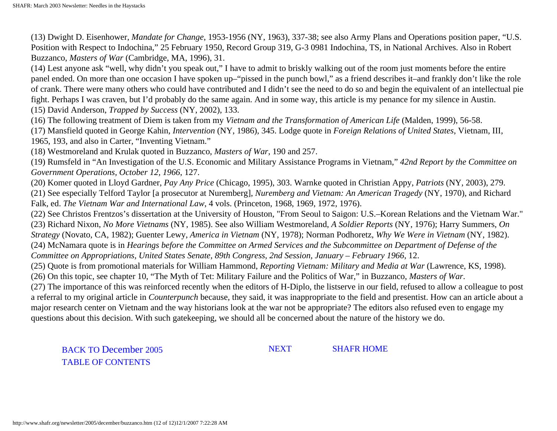(13) Dwight D. Eisenhower, *Mandate for Change*, 1953-1956 (NY, 1963), 337-38; see also Army Plans and Operations position paper, "U.S. Position with Respect to Indochina," 25 February 1950, Record Group 319, G-3 0981 Indochina, TS, in National Archives. Also in Robert Buzzanco, *Masters of War* (Cambridge, MA, 1996), 31.

(14) Lest anyone ask "well, why didn't you speak out," I have to admit to briskly walking out of the room just moments before the entire panel ended. On more than one occasion I have spoken up–"pissed in the punch bowl," as a friend describes it–and frankly don't like the role of crank. There were many others who could have contributed and I didn't see the need to do so and begin the equivalent of an intellectual pie fight. Perhaps I was craven, but I'd probably do the same again. And in some way, this article is my penance for my silence in Austin. (15) David Anderson, *Trapped by Success* (NY, 2002), 133.

(16) The following treatment of Diem is taken from my *Vietnam and the Transformation of American Life* (Malden, 1999), 56-58.

(17) Mansfield quoted in George Kahin, *Intervention* (NY, 1986), 345. Lodge quote in *Foreign Relations of United States*, Vietnam, III, 1965, 193, and also in Carter, "Inventing Vietnam."

(18) Westmoreland and Krulak quoted in Buzzanco, *Masters of War*, 190 and 257.

(19) Rumsfeld in "An Investigation of the U.S. Economic and Military Assistance Programs in Vietnam," *42nd Report by the Committee on Government Operations, October 12, 1966*, 127.

(20) Komer quoted in Lloyd Gardner, *Pay Any Price* (Chicago, 1995), 303. Warnke quoted in Christian Appy, *Patriots* (NY, 2003), 279. (21) See especially Telford Taylor [a prosecutor at Nuremberg], *Nuremberg and Vietnam: An American Tragedy* (NY, 1970), and Richard Falk, ed. *The Vietnam War and International Law*, 4 vols. (Princeton, 1968, 1969, 1972, 1976).

(22) See Christos Frentzos's dissertation at the University of Houston, "From Seoul to Saigon: U.S.–Korean Relations and the Vietnam War." (23) Richard Nixon, *No More Vietnams* (NY, 1985). See also William Westmoreland, *A Soldier Reports* (NY, 1976); Harry Summers, *On Strategy* (Novato, CA, 1982); Guenter Lewy, *America in Vietnam* (NY, 1978); Norman Podhoretz, *Why We Were in Vietnam* (NY, 1982).

(24) McNamara quote is in *Hearings before the Committee on Armed Services and the Subcommittee on Department of Defense of the* 

*Committee on Appropriations, United States Senate, 89th Congress, 2nd Session, January – February 1966*, 12.

(25) Quote is from promotional materials for William Hammond, *Reporting Vietnam: Military and Media at War* (Lawrence, KS, 1998).

(26) On this topic, see chapter 10, "The Myth of Tet: Military Failure and the Politics of War," in Buzzanco, *Masters of War*.

(27) The importance of this was reinforced recently when the editors of H-Diplo, the listserve in our field, refused to allow a colleague to post a referral to my original article in *Counterpunch* because, they said, it was inappropriate to the field and presentist. How can an article about a major research center on Vietnam and the way historians look at the war not be appropriate? The editors also refused even to engage my questions about this decision. With such gatekeeping, we should all be concerned about the nature of the history we do.

BACK TO December 2005 TABLE OF CONTENTS

NEXT SHAFR HOME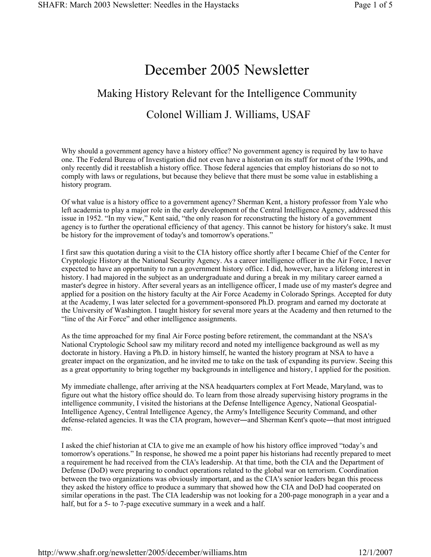# December 2005 Newsletter

# Making History Relevant for the Intelligence Community Colonel William J. Williams, USAF

Why should a government agency have a history office? No government agency is required by law to have one. The Federal Bureau of Investigation did not even have a historian on its staff for most of the 1990s, and only recently did it reestablish a history office. Those federal agencies that employ historians do so not to comply with laws or regulations, but because they believe that there must be some value in establishing a history program.

Of what value is a history office to a government agency? Sherman Kent, a history professor from Yale who left academia to play a major role in the early development of the Central Intelligence Agency, addressed this issue in 1952. "In my view," Kent said, "the only reason for reconstructing the history of a government agency is to further the operational efficiency of that agency. This cannot be history for history's sake. It must be history for the improvement of today's and tomorrow's operations."

I first saw this quotation during a visit to the CIA history office shortly after I became Chief of the Center for Cryptologic History at the National Security Agency. As a career intelligence officer in the Air Force, I never expected to have an opportunity to run a government history office. I did, however, have a lifelong interest in history. I had majored in the subject as an undergraduate and during a break in my military career earned a master's degree in history. After several years as an intelligence officer, I made use of my master's degree and applied for a position on the history faculty at the Air Force Academy in Colorado Springs. Accepted for duty at the Academy, I was later selected for a government-sponsored Ph.D. program and earned my doctorate at the University of Washington. I taught history for several more years at the Academy and then returned to the "line of the Air Force" and other intelligence assignments.

As the time approached for my final Air Force posting before retirement, the commandant at the NSA's National Cryptologic School saw my military record and noted my intelligence background as well as my doctorate in history. Having a Ph.D. in history himself, he wanted the history program at NSA to have a greater impact on the organization, and he invited me to take on the task of expanding its purview. Seeing this as a great opportunity to bring together my backgrounds in intelligence and history, I applied for the position.

My immediate challenge, after arriving at the NSA headquarters complex at Fort Meade, Maryland, was to figure out what the history office should do. To learn from those already supervising history programs in the intelligence community, I visited the historians at the Defense Intelligence Agency, National Geospatial-Intelligence Agency, Central Intelligence Agency, the Army's Intelligence Security Command, and other defense-related agencies. It was the CIA program, however—and Sherman Kent's quote—that most intrigued me.

I asked the chief historian at CIA to give me an example of how his history office improved "today's and tomorrow's operations." In response, he showed me a point paper his historians had recently prepared to meet a requirement he had received from the CIA's leadership. At that time, both the CIA and the Department of Defense (DoD) were preparing to conduct operations related to the global war on terrorism. Coordination between the two organizations was obviously important, and as the CIA's senior leaders began this process they asked the history office to produce a summary that showed how the CIA and DoD had cooperated on similar operations in the past. The CIA leadership was not looking for a 200-page monograph in a year and a half, but for a 5- to 7-page executive summary in a week and a half.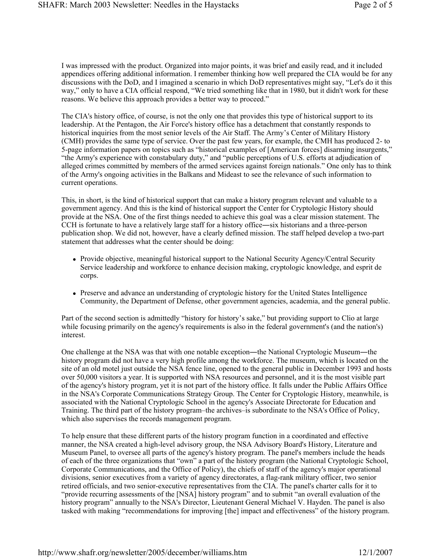I was impressed with the product. Organized into major points, it was brief and easily read, and it included appendices offering additional information. I remember thinking how well prepared the CIA would be for any discussions with the DoD, and I imagined a scenario in which DoD representatives might say, "Let's do it this way," only to have a CIA official respond, "We tried something like that in 1980, but it didn't work for these reasons. We believe this approach provides a better way to proceed."

The CIA's history office, of course, is not the only one that provides this type of historical support to its leadership. At the Pentagon, the Air Force's history office has a detachment that constantly responds to historical inquiries from the most senior levels of the Air Staff. The Army's Center of Military History (CMH) provides the same type of service. Over the past few years, for example, the CMH has produced 2- to 5-page information papers on topics such as "historical examples of [American forces] disarming insurgents," "the Army's experience with constabulary duty," and "public perceptions of U.S. efforts at adjudication of alleged crimes committed by members of the armed services against foreign nationals." One only has to think of the Army's ongoing activities in the Balkans and Mideast to see the relevance of such information to current operations.

This, in short, is the kind of historical support that can make a history program relevant and valuable to a government agency. And this is the kind of historical support the Center for Cryptologic History should provide at the NSA. One of the first things needed to achieve this goal was a clear mission statement. The CCH is fortunate to have a relatively large staff for a history office―six historians and a three-person publication shop. We did not, however, have a clearly defined mission. The staff helped develop a two-part statement that addresses what the center should be doing:

- Provide objective, meaningful historical support to the National Security Agency/Central Security Service leadership and workforce to enhance decision making, cryptologic knowledge, and esprit de corps.
- Preserve and advance an understanding of cryptologic history for the United States Intelligence Community, the Department of Defense, other government agencies, academia, and the general public.

Part of the second section is admittedly "history for history's sake," but providing support to Clio at large while focusing primarily on the agency's requirements is also in the federal government's (and the nation's) interest.

One challenge at the NSA was that with one notable exception―the National Cryptologic Museum―the history program did not have a very high profile among the workforce. The museum, which is located on the site of an old motel just outside the NSA fence line, opened to the general public in December 1993 and hosts over 50,000 visitors a year. It is supported with NSA resources and personnel, and it is the most visible part of the agency's history program, yet it is not part of the history office. It falls under the Public Affairs Office in the NSA's Corporate Communications Strategy Group. The Center for Cryptologic History, meanwhile, is associated with the National Cryptologic School in the agency's Associate Directorate for Education and Training. The third part of the history program–the archives–is subordinate to the NSA's Office of Policy, which also supervises the records management program.

To help ensure that these different parts of the history program function in a coordinated and effective manner, the NSA created a high-level advisory group, the NSA Advisory Board's History, Literature and Museum Panel, to oversee all parts of the agency's history program. The panel's members include the heads of each of the three organizations that "own" a part of the history program (the National Cryptologic School, Corporate Communications, and the Office of Policy), the chiefs of staff of the agency's major operational divisions, senior executives from a variety of agency directorates, a flag-rank military officer, two senior retired officials, and two senior-executive representatives from the CIA. The panel's charter calls for it to "provide recurring assessments of the [NSA] history program" and to submit "an overall evaluation of the history program" annually to the NSA's Director, Lieutenant General Michael V. Hayden. The panel is also tasked with making "recommendations for improving [the] impact and effectiveness" of the history program.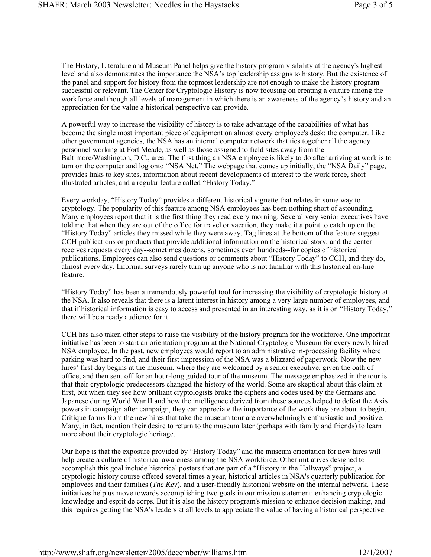The History, Literature and Museum Panel helps give the history program visibility at the agency's highest level and also demonstrates the importance the NSA's top leadership assigns to history. But the existence of the panel and support for history from the topmost leadership are not enough to make the history program successful or relevant. The Center for Cryptologic History is now focusing on creating a culture among the workforce and though all levels of management in which there is an awareness of the agency's history and an appreciation for the value a historical perspective can provide.

A powerful way to increase the visibility of history is to take advantage of the capabilities of what has become the single most important piece of equipment on almost every employee's desk: the computer. Like other government agencies, the NSA has an internal computer network that ties together all the agency personnel working at Fort Meade, as well as those assigned to field sites away from the Baltimore/Washington, D.C., area. The first thing an NSA employee is likely to do after arriving at work is to turn on the computer and log onto "NSA Net." The webpage that comes up initially, the "NSA Daily" page, provides links to key sites, information about recent developments of interest to the work force, short illustrated articles, and a regular feature called "History Today."

Every workday, "History Today" provides a different historical vignette that relates in some way to cryptology. The popularity of this feature among NSA employees has been nothing short of astounding. Many employees report that it is the first thing they read every morning. Several very senior executives have told me that when they are out of the office for travel or vacation, they make it a point to catch up on the "History Today" articles they missed while they were away. Tag lines at the bottom of the feature suggest CCH publications or products that provide additional information on the historical story, and the center receives requests every day--sometimes dozens, sometimes even hundreds--for copies of historical publications. Employees can also send questions or comments about "History Today" to CCH, and they do, almost every day. Informal surveys rarely turn up anyone who is not familiar with this historical on-line feature.

"History Today" has been a tremendously powerful tool for increasing the visibility of cryptologic history at the NSA. It also reveals that there is a latent interest in history among a very large number of employees, and that if historical information is easy to access and presented in an interesting way, as it is on "History Today," there will be a ready audience for it.

CCH has also taken other steps to raise the visibility of the history program for the workforce. One important initiative has been to start an orientation program at the National Cryptologic Museum for every newly hired NSA employee. In the past, new employees would report to an administrative in-processing facility where parking was hard to find, and their first impression of the NSA was a blizzard of paperwork. Now the new hires' first day begins at the museum, where they are welcomed by a senior executive, given the oath of office, and then sent off for an hour-long guided tour of the museum. The message emphasized in the tour is that their cryptologic predecessors changed the history of the world. Some are skeptical about this claim at first, but when they see how brilliant cryptologists broke the ciphers and codes used by the Germans and Japanese during World War II and how the intelligence derived from these sources helped to defeat the Axis powers in campaign after campaign, they can appreciate the importance of the work they are about to begin. Critique forms from the new hires that take the museum tour are overwhelmingly enthusiastic and positive. Many, in fact, mention their desire to return to the museum later (perhaps with family and friends) to learn more about their cryptologic heritage.

Our hope is that the exposure provided by "History Today" and the museum orientation for new hires will help create a culture of historical awareness among the NSA workforce. Other initiatives designed to accomplish this goal include historical posters that are part of a "History in the Hallways" project, a cryptologic history course offered several times a year, historical articles in NSA's quarterly publication for employees and their families (*The Key*), and a user-friendly historical website on the internal network. These initiatives help us move towards accomplishing two goals in our mission statement: enhancing cryptologic knowledge and esprit de corps. But it is also the history program's mission to enhance decision making, and this requires getting the NSA's leaders at all levels to appreciate the value of having a historical perspective.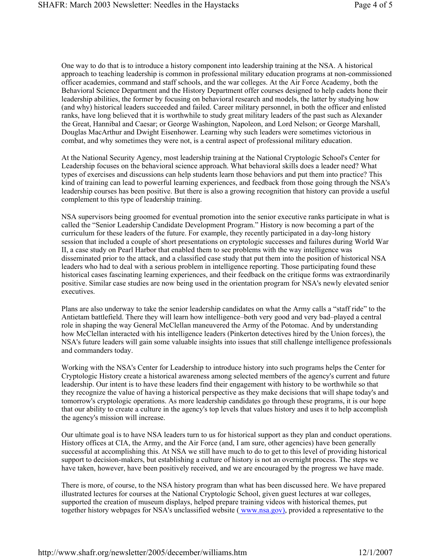One way to do that is to introduce a history component into leadership training at the NSA. A historical approach to teaching leadership is common in professional military education programs at non-commissioned officer academies, command and staff schools, and the war colleges. At the Air Force Academy, both the Behavioral Science Department and the History Department offer courses designed to help cadets hone their leadership abilities, the former by focusing on behavioral research and models, the latter by studying how (and why) historical leaders succeeded and failed. Career military personnel, in both the officer and enlisted ranks, have long believed that it is worthwhile to study great military leaders of the past such as Alexander the Great, Hannibal and Caesar; or George Washington, Napoleon, and Lord Nelson; or George Marshall, Douglas MacArthur and Dwight Eisenhower. Learning why such leaders were sometimes victorious in combat, and why sometimes they were not, is a central aspect of professional military education.

At the National Security Agency, most leadership training at the National Cryptologic School's Center for Leadership focuses on the behavioral science approach. What behavioral skills does a leader need? What types of exercises and discussions can help students learn those behaviors and put them into practice? This kind of training can lead to powerful learning experiences, and feedback from those going through the NSA's leadership courses has been positive. But there is also a growing recognition that history can provide a useful complement to this type of leadership training.

NSA supervisors being groomed for eventual promotion into the senior executive ranks participate in what is called the "Senior Leadership Candidate Development Program." History is now becoming a part of the curriculum for these leaders of the future. For example, they recently participated in a day-long history session that included a couple of short presentations on cryptologic successes and failures during World War II, a case study on Pearl Harbor that enabled them to see problems with the way intelligence was disseminated prior to the attack, and a classified case study that put them into the position of historical NSA leaders who had to deal with a serious problem in intelligence reporting. Those participating found these historical cases fascinating learning experiences, and their feedback on the critique forms was extraordinarily positive. Similar case studies are now being used in the orientation program for NSA's newly elevated senior executives.

Plans are also underway to take the senior leadership candidates on what the Army calls a "staff ride" to the Antietam battlefield. There they will learn how intelligence–both very good and very bad–played a central role in shaping the way General McClellan maneuvered the Army of the Potomac. And by understanding how McClellan interacted with his intelligence leaders (Pinkerton detectives hired by the Union forces), the NSA's future leaders will gain some valuable insights into issues that still challenge intelligence professionals and commanders today.

Working with the NSA's Center for Leadership to introduce history into such programs helps the Center for Cryptologic History create a historical awareness among selected members of the agency's current and future leadership. Our intent is to have these leaders find their engagement with history to be worthwhile so that they recognize the value of having a historical perspective as they make decisions that will shape today's and tomorrow's cryptologic operations. As more leadership candidates go through these programs, it is our hope that our ability to create a culture in the agency's top levels that values history and uses it to help accomplish the agency's mission will increase.

Our ultimate goal is to have NSA leaders turn to us for historical support as they plan and conduct operations. History offices at CIA, the Army, and the Air Force (and, I am sure, other agencies) have been generally successful at accomplishing this. At NSA we still have much to do to get to this level of providing historical support to decision-makers, but establishing a culture of history is not an overnight process. The steps we have taken, however, have been positively received, and we are encouraged by the progress we have made.

There is more, of course, to the NSA history program than what has been discussed here. We have prepared illustrated lectures for courses at the National Cryptologic School, given guest lectures at war colleges, supported the creation of museum displays, helped prepare training videos with historical themes, put together history webpages for NSA's unclassified website (www.nsa.gov), provided a representative to the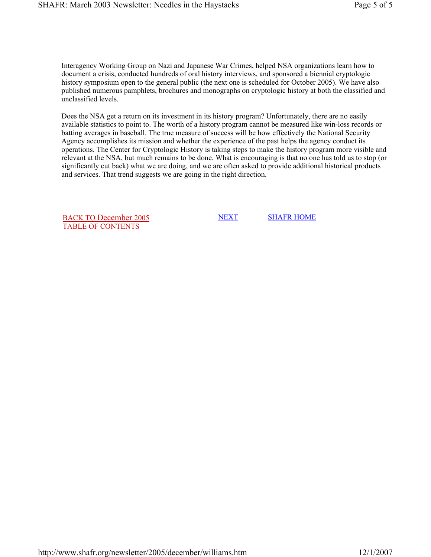Interagency Working Group on Nazi and Japanese War Crimes, helped NSA organizations learn how to document a crisis, conducted hundreds of oral history interviews, and sponsored a biennial cryptologic history symposium open to the general public (the next one is scheduled for October 2005). We have also published numerous pamphlets, brochures and monographs on cryptologic history at both the classified and unclassified levels.

Does the NSA get a return on its investment in its history program? Unfortunately, there are no easily available statistics to point to. The worth of a history program cannot be measured like win-loss records or batting averages in baseball. The true measure of success will be how effectively the National Security Agency accomplishes its mission and whether the experience of the past helps the agency conduct its operations. The Center for Cryptologic History is taking steps to make the history program more visible and relevant at the NSA, but much remains to be done. What is encouraging is that no one has told us to stop (or significantly cut back) what we are doing, and we are often asked to provide additional historical products and services. That trend suggests we are going in the right direction.

BACK TO December 2005 TABLE OF CONTENTS

NEXT SHAFR HOME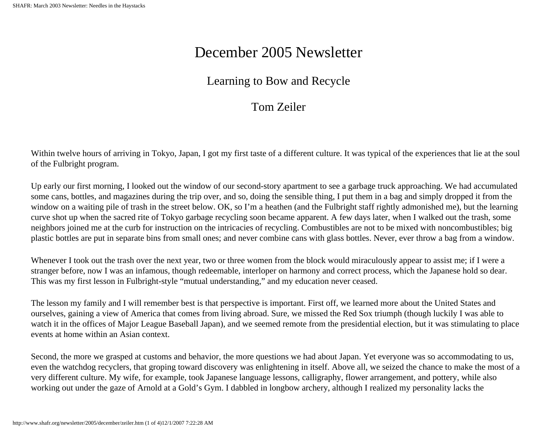# December 2005 Newsletter

## Learning to Bow and Recycle

## Tom Zeiler

<span id="page-18-0"></span>Within twelve hours of arriving in Tokyo, Japan, I got my first taste of a different culture. It was typical of the experiences that lie at the soul of the Fulbright program.

Up early our first morning, I looked out the window of our second-story apartment to see a garbage truck approaching. We had accumulated some cans, bottles, and magazines during the trip over, and so, doing the sensible thing, I put them in a bag and simply dropped it from the window on a waiting pile of trash in the street below. OK, so I'm a heathen (and the Fulbright staff rightly admonished me), but the learning curve shot up when the sacred rite of Tokyo garbage recycling soon became apparent. A few days later, when I walked out the trash, some neighbors joined me at the curb for instruction on the intricacies of recycling. Combustibles are not to be mixed with noncombustibles; big plastic bottles are put in separate bins from small ones; and never combine cans with glass bottles. Never, ever throw a bag from a window.

Whenever I took out the trash over the next year, two or three women from the block would miraculously appear to assist me; if I were a stranger before, now I was an infamous, though redeemable, interloper on harmony and correct process, which the Japanese hold so dear. This was my first lesson in Fulbright-style "mutual understanding," and my education never ceased.

The lesson my family and I will remember best is that perspective is important. First off, we learned more about the United States and ourselves, gaining a view of America that comes from living abroad. Sure, we missed the Red Sox triumph (though luckily I was able to watch it in the offices of Major League Baseball Japan), and we seemed remote from the presidential election, but it was stimulating to place events at home within an Asian context.

Second, the more we grasped at customs and behavior, the more questions we had about Japan. Yet everyone was so accommodating to us, even the watchdog recyclers, that groping toward discovery was enlightening in itself. Above all, we seized the chance to make the most of a very different culture. My wife, for example, took Japanese language lessons, calligraphy, flower arrangement, and pottery, while also working out under the gaze of Arnold at a Gold's Gym. I dabbled in longbow archery, although I realized my personality lacks the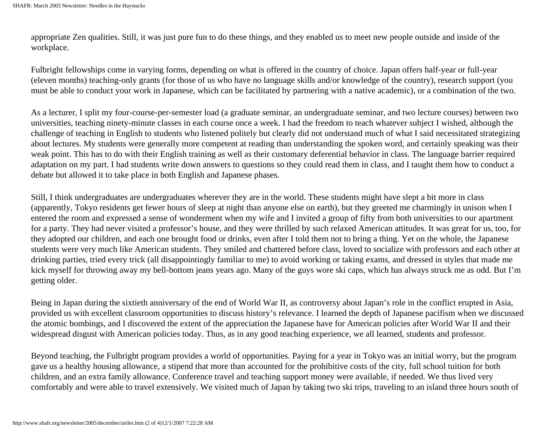appropriate Zen qualities. Still, it was just pure fun to do these things, and they enabled us to meet new people outside and inside of the workplace.

Fulbright fellowships come in varying forms, depending on what is offered in the country of choice. Japan offers half-year or full-year (eleven months) teaching-only grants (for those of us who have no language skills and/or knowledge of the country), research support (you must be able to conduct your work in Japanese, which can be facilitated by partnering with a native academic), or a combination of the two.

As a lecturer, I split my four-course-per-semester load (a graduate seminar, an undergraduate seminar, and two lecture courses) between two universities, teaching ninety-minute classes in each course once a week. I had the freedom to teach whatever subject I wished, although the challenge of teaching in English to students who listened politely but clearly did not understand much of what I said necessitated strategizing about lectures. My students were generally more competent at reading than understanding the spoken word, and certainly speaking was their weak point. This has to do with their English training as well as their customary deferential behavior in class. The language barrier required adaptation on my part. I had students write down answers to questions so they could read them in class, and I taught them how to conduct a debate but allowed it to take place in both English and Japanese phases.

Still, I think undergraduates are undergraduates wherever they are in the world. These students might have slept a bit more in class (apparently, Tokyo residents get fewer hours of sleep at night than anyone else on earth), but they greeted me charmingly in unison when I entered the room and expressed a sense of wonderment when my wife and I invited a group of fifty from both universities to our apartment for a party. They had never visited a professor's house, and they were thrilled by such relaxed American attitudes. It was great for us, too, for they adopted our children, and each one brought food or drinks, even after I told them not to bring a thing. Yet on the whole, the Japanese students were very much like American students. They smiled and chattered before class, loved to socialize with professors and each other at drinking parties, tried every trick (all disappointingly familiar to me) to avoid working or taking exams, and dressed in styles that made me kick myself for throwing away my bell-bottom jeans years ago. Many of the guys wore ski caps, which has always struck me as odd. But I'm getting older.

Being in Japan during the sixtieth anniversary of the end of World War II, as controversy about Japan's role in the conflict erupted in Asia, provided us with excellent classroom opportunities to discuss history's relevance. I learned the depth of Japanese pacifism when we discussed the atomic bombings, and I discovered the extent of the appreciation the Japanese have for American policies after World War II and their widespread disgust with American policies today. Thus, as in any good teaching experience, we all learned, students and professor.

Beyond teaching, the Fulbright program provides a world of opportunities. Paying for a year in Tokyo was an initial worry, but the program gave us a healthy housing allowance, a stipend that more than accounted for the prohibitive costs of the city, full school tuition for both children, and an extra family allowance. Conference travel and teaching support money were available, if needed. We thus lived very comfortably and were able to travel extensively. We visited much of Japan by taking two ski trips, traveling to an island three hours south of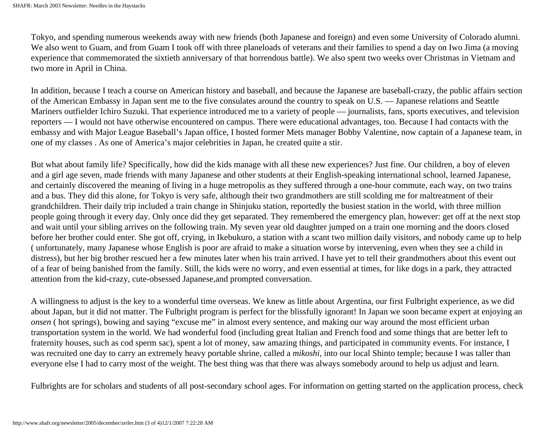Tokyo, and spending numerous weekends away with new friends (both Japanese and foreign) and even some University of Colorado alumni. We also went to Guam, and from Guam I took off with three planeloads of veterans and their families to spend a day on Iwo Jima (a moving experience that commemorated the sixtieth anniversary of that horrendous battle). We also spent two weeks over Christmas in Vietnam and two more in April in China.

In addition, because I teach a course on American history and baseball, and because the Japanese are baseball-crazy, the public affairs section of the American Embassy in Japan sent me to the five consulates around the country to speak on U.S. — Japanese relations and Seattle Mariners outfielder Ichiro Suzuki. That experience introduced me to a variety of people — journalists, fans, sports executives, and television reporters — I would not have otherwise encountered on campus. There were educational advantages, too. Because I had contacts with the embassy and with Major League Baseball's Japan office, I hosted former Mets manager Bobby Valentine, now captain of a Japanese team, in one of my classes . As one of America's major celebrities in Japan, he created quite a stir.

But what about family life? Specifically, how did the kids manage with all these new experiences? Just fine. Our children, a boy of eleven and a girl age seven, made friends with many Japanese and other students at their English-speaking international school, learned Japanese, and certainly discovered the meaning of living in a huge metropolis as they suffered through a one-hour commute, each way, on two trains and a bus. They did this alone, for Tokyo is very safe, although their two grandmothers are still scolding me for maltreatment of their grandchildren. Their daily trip included a train change in Shinjuku station, reportedly the busiest station in the world, with three million people going through it every day. Only once did they get separated. They remembered the emergency plan, however: get off at the next stop and wait until your sibling arrives on the following train. My seven year old daughter jumped on a train one morning and the doors closed before her brother could enter. She got off, crying, in Ikebukuro, a station with a scant two million daily visitors, and nobody came up to help ( unfortunately, many Japanese whose English is poor are afraid to make a situation worse by intervening, even when they see a child in distress), but her big brother rescued her a few minutes later when his train arrived. I have yet to tell their grandmothers about this event out of a fear of being banished from the family. Still, the kids were no worry, and even essential at times, for like dogs in a park, they attracted attention from the kid-crazy, cute-obsessed Japanese,and prompted conversation.

A willingness to adjust is the key to a wonderful time overseas. We knew as little about Argentina, our first Fulbright experience, as we did about Japan, but it did not matter. The Fulbright program is perfect for the blissfully ignorant! In Japan we soon became expert at enjoying an *onsen* (hot springs), bowing and saying "excuse me" in almost every sentence, and making our way around the most efficient urban transportation system in the world. We had wonderful food (including great Italian and French food and some things that are better left to fraternity houses, such as cod sperm sac), spent a lot of money, saw amazing things, and participated in community events. For instance, I was recruited one day to carry an extremely heavy portable shrine, called a *mikoshi*, into our local Shinto temple; because I was taller than everyone else I had to carry most of the weight. The best thing was that there was always somebody around to help us adjust and learn.

Fulbrights are for scholars and students of all post-secondary school ages. For information on getting started on the application process, check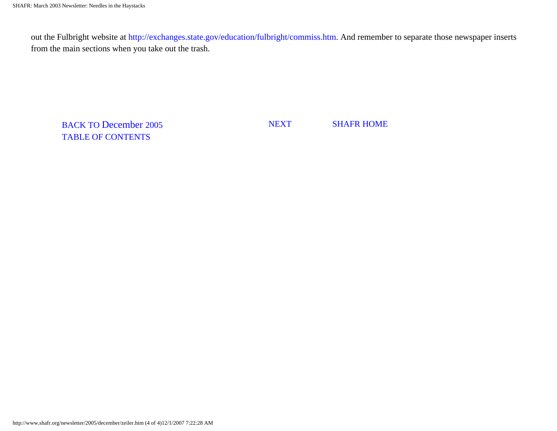out the Fulbright website at http://exchanges.state.gov/education/fulbright/commiss.htm. And remember to separate those newspaper inserts from the main sections when you take out the trash.

BACK TO December 2005 TABLE OF CONTENTS

NEXT SHAFR HOME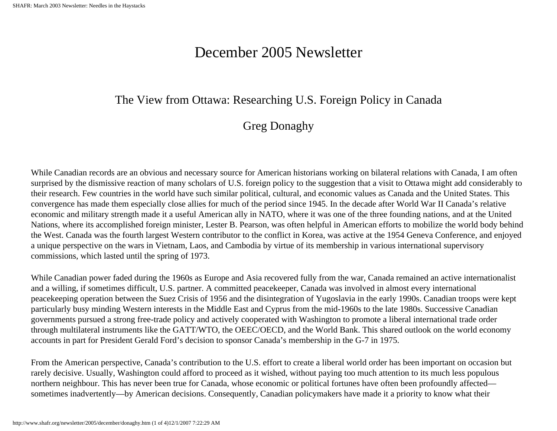# December 2005 Newsletter

### <span id="page-22-0"></span>The View from Ottawa: Researching U.S. Foreign Policy in Canada

## Greg Donaghy

While Canadian records are an obvious and necessary source for American historians working on bilateral relations with Canada, I am often surprised by the dismissive reaction of many scholars of U.S. foreign policy to the suggestion that a visit to Ottawa might add considerably to their research. Few countries in the world have such similar political, cultural, and economic values as Canada and the United States. This convergence has made them especially close allies for much of the period since 1945. In the decade after World War II Canada's relative economic and military strength made it a useful American ally in NATO, where it was one of the three founding nations, and at the United Nations, where its accomplished foreign minister, Lester B. Pearson, was often helpful in American efforts to mobilize the world body behind the West. Canada was the fourth largest Western contributor to the conflict in Korea, was active at the 1954 Geneva Conference, and enjoyed a unique perspective on the wars in Vietnam, Laos, and Cambodia by virtue of its membership in various international supervisory commissions, which lasted until the spring of 1973.

While Canadian power faded during the 1960s as Europe and Asia recovered fully from the war, Canada remained an active internationalist and a willing, if sometimes difficult, U.S. partner. A committed peacekeeper, Canada was involved in almost every international peacekeeping operation between the Suez Crisis of 1956 and the disintegration of Yugoslavia in the early 1990s. Canadian troops were kept particularly busy minding Western interests in the Middle East and Cyprus from the mid-1960s to the late 1980s. Successive Canadian governments pursued a strong free-trade policy and actively cooperated with Washington to promote a liberal international trade order through multilateral instruments like the GATT/WTO, the OEEC/OECD, and the World Bank. This shared outlook on the world economy accounts in part for President Gerald Ford's decision to sponsor Canada's membership in the G-7 in 1975.

From the American perspective, Canada's contribution to the U.S. effort to create a liberal world order has been important on occasion but rarely decisive. Usually, Washington could afford to proceed as it wished, without paying too much attention to its much less populous northern neighbour. This has never been true for Canada, whose economic or political fortunes have often been profoundly affected sometimes inadvertently—by American decisions. Consequently, Canadian policymakers have made it a priority to know what their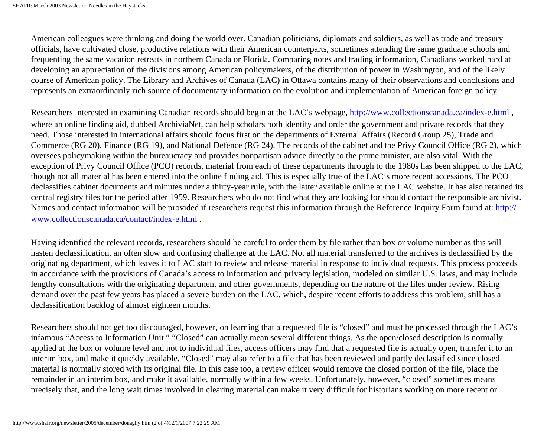American colleagues were thinking and doing the world over. Canadian politicians, diplomats and soldiers, as well as trade and treasury officials, have cultivated close, productive relations with their American counterparts, sometimes attending the same graduate schools and frequenting the same vacation retreats in northern Canada or Florida. Comparing notes and trading information, Canadians worked hard at developing an appreciation of the divisions among American policymakers, of the distribution of power in Washington, and of the likely course of American policy. The Library and Archives of Canada (LAC) in Ottawa contains many of their observations and conclusions and represents an extraordinarily rich source of documentary information on the evolution and implementation of American foreign policy.

Researchers interested in examining Canadian records should begin at the LAC's webpage, http://www.collectionscanada.ca/index-e.html , where an online finding aid, dubbed ArchiviaNet, can help scholars both identify and order the government and private records that they need. Those interested in international affairs should focus first on the departments of External Affairs (Record Group 25), Trade and Commerce (RG 20), Finance (RG 19), and National Defence (RG 24). The records of the cabinet and the Privy Council Office (RG 2), which oversees policymaking within the bureaucracy and provides nonpartisan advice directly to the prime minister, are also vital. With the exception of Privy Council Office (PCO) records, material from each of these departments through to the 1980s has been shipped to the LAC, though not all material has been entered into the online finding aid. This is especially true of the LAC's more recent accessions. The PCO declassifies cabinet documents and minutes under a thirty-year rule, with the latter available online at the LAC website. It has also retained its central registry files for the period after 1959. Researchers who do not find what they are looking for should contact the responsible archivist. Names and contact information will be provided if researchers request this information through the Reference Inquiry Form found at: http:// www.collectionscanada.ca/contact/index-e.html .

Having identified the relevant records, researchers should be careful to order them by file rather than box or volume number as this will hasten declassification, an often slow and confusing challenge at the LAC. Not all material transferred to the archives is declassified by the originating department, which leaves it to LAC staff to review and release material in response to individual requests. This process proceeds in accordance with the provisions of Canada's access to information and privacy legislation, modeled on similar U.S. laws, and may include lengthy consultations with the originating department and other governments, depending on the nature of the files under review. Rising demand over the past few years has placed a severe burden on the LAC, which, despite recent efforts to address this problem, still has a declassification backlog of almost eighteen months.

Researchers should not get too discouraged, however, on learning that a requested file is "closed" and must be processed through the LAC's infamous "Access to Information Unit." "Closed" can actually mean several different things. As the open/closed description is normally applied at the box or volume level and not to individual files, access officers may find that a requested file is actually open, transfer it to an interim box, and make it quickly available. "Closed" may also refer to a file that has been reviewed and partly declassified since closed material is normally stored with its original file. In this case too, a review officer would remove the closed portion of the file, place the remainder in an interim box, and make it available, normally within a few weeks. Unfortunately, however, "closed" sometimes means precisely that, and the long wait times involved in clearing material can make it very difficult for historians working on more recent or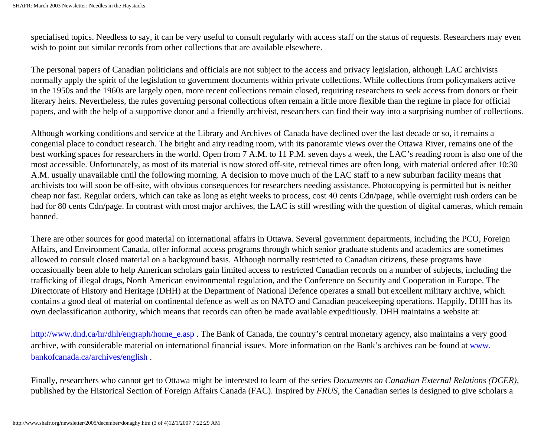specialised topics. Needless to say, it can be very useful to consult regularly with access staff on the status of requests. Researchers may even wish to point out similar records from other collections that are available elsewhere.

The personal papers of Canadian politicians and officials are not subject to the access and privacy legislation, although LAC archivists normally apply the spirit of the legislation to government documents within private collections. While collections from policymakers active in the 1950s and the 1960s are largely open, more recent collections remain closed, requiring researchers to seek access from donors or their literary heirs. Nevertheless, the rules governing personal collections often remain a little more flexible than the regime in place for official papers, and with the help of a supportive donor and a friendly archivist, researchers can find their way into a surprising number of collections.

Although working conditions and service at the Library and Archives of Canada have declined over the last decade or so, it remains a congenial place to conduct research. The bright and airy reading room, with its panoramic views over the Ottawa River, remains one of the best working spaces for researchers in the world. Open from 7 A.M. to 11 P.M. seven days a week, the LAC's reading room is also one of the most accessible. Unfortunately, as most of its material is now stored off-site, retrieval times are often long, with material ordered after 10:30 A.M. usually unavailable until the following morning. A decision to move much of the LAC staff to a new suburban facility means that archivists too will soon be off-site, with obvious consequences for researchers needing assistance. Photocopying is permitted but is neither cheap nor fast. Regular orders, which can take as long as eight weeks to process, cost 40 cents Cdn/page, while overnight rush orders can be had for 80 cents Cdn/page. In contrast with most major archives, the LAC is still wrestling with the question of digital cameras, which remain banned.

There are other sources for good material on international affairs in Ottawa. Several government departments, including the PCO, Foreign Affairs, and Environment Canada, offer informal access programs through which senior graduate students and academics are sometimes allowed to consult closed material on a background basis. Although normally restricted to Canadian citizens, these programs have occasionally been able to help American scholars gain limited access to restricted Canadian records on a number of subjects, including the trafficking of illegal drugs, North American environmental regulation, and the Conference on Security and Cooperation in Europe. The Directorate of History and Heritage (DHH) at the Department of National Defence operates a small but excellent military archive, which contains a good deal of material on continental defence as well as on NATO and Canadian peacekeeping operations. Happily, DHH has its own declassification authority, which means that records can often be made available expeditiously. DHH maintains a website at:

http://www.dnd.ca/hr/dhh/engraph/home\_e.asp . The Bank of Canada, the country's central monetary agency, also maintains a very good archive, with considerable material on international financial issues. More information on the Bank's archives can be found at www. bankofcanada.ca/archives/english .

Finally, researchers who cannot get to Ottawa might be interested to learn of the series *Documents on Canadian External Relations (DCER),* published by the Historical Section of Foreign Affairs Canada (FAC). Inspired by *FRUS*, the Canadian series is designed to give scholars a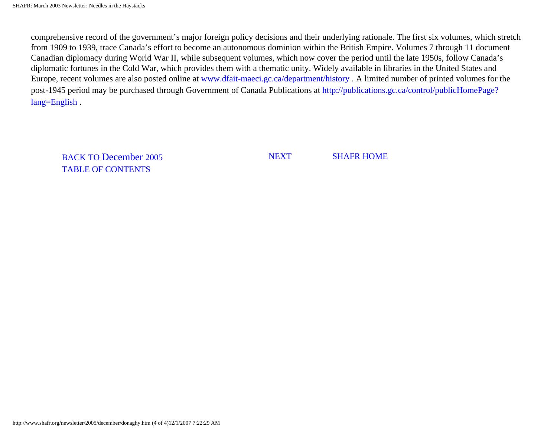comprehensive record of the government's major foreign policy decisions and their underlying rationale. The first six volumes, which stretch from 1909 to 1939, trace Canada's effort to become an autonomous dominion within the British Empire. Volumes 7 through 11 document Canadian diplomacy during World War II, while subsequent volumes, which now cover the period until the late 1950s, follow Canada's diplomatic fortunes in the Cold War, which provides them with a thematic unity. Widely available in libraries in the United States and Europe, recent volumes are also posted online at www.dfait-maeci.gc.ca/department/history . A limited number of printed volumes for the post-1945 period may be purchased through Government of Canada Publications at http://publications.gc.ca/control/publicHomePage? lang=English .

BACK TO December 2005 TABLE OF CONTENTS

NEXT SHAFR HOME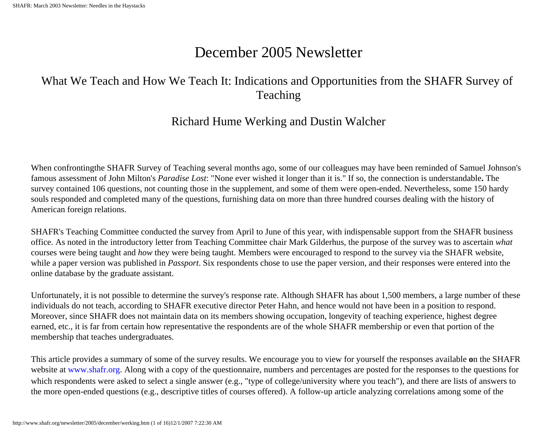# December 2005 Newsletter

# <span id="page-26-0"></span>What We Teach and How We Teach It: Indications and Opportunities from the SHAFR Survey of Teaching

### Richard Hume Werking and Dustin Walcher

When confrontingthe SHAFR Survey of Teaching several months ago, some of our colleagues may have been reminded of Samuel Johnson's famous assessment of John Milton's *Paradise Lost*: "None ever wished it longer than it is." If so, the connection is understandable**.** The survey contained 106 questions, not counting those in the supplement, and some of them were open-ended. Nevertheless, some 150 hardy souls responded and completed many of the questions, furnishing data on more than three hundred courses dealing with the history of American foreign relations.

SHAFR's Teaching Committee conducted the survey from April to June of this year, with indispensable support from the SHAFR business office. As noted in the introductory letter from Teaching Committee chair Mark Gilderhus, the purpose of the survey was to ascertain *what* courses were being taught and *how* they were being taught. Members were encouraged to respond to the survey via the SHAFR website, while a paper version was published in *Passport*. Six respondents chose to use the paper version, and their responses were entered into the online database by the graduate assistant.

Unfortunately, it is not possible to determine the survey's response rate. Although SHAFR has about 1,500 members, a large number of these individuals do not teach, according to SHAFR executive director Peter Hahn, and hence would not have been in a position to respond. Moreover, since SHAFR does not maintain data on its members showing occupation, longevity of teaching experience, highest degree earned, etc., it is far from certain how representative the respondents are of the whole SHAFR membership or even that portion of the membership that teaches undergraduates.

This article provides a summary of some of the survey results. We encourage you to view for yourself the responses available **o**n the SHAFR website at www.shafr.org. Along with a copy of the questionnaire, numbers and percentages are posted for the responses to the questions for which respondents were asked to select a single answer (e.g., "type of college/university where you teach"), and there are lists of answers to the more open-ended questions (e.g., descriptive titles of courses offered). A follow-up article analyzing correlations among some of the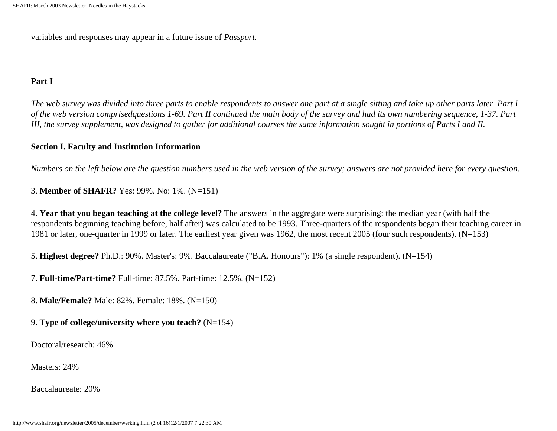variables and responses may appear in a future issue of *Passport*.

#### **Part I**

*The web survey was divided into three parts to enable respondents to answer one part at a single sitting and take up other parts later. Part I of the web version comprisedquestions 1-69. Part II continued the main body of the survey and had its own numbering sequence, 1-37. Part III, the survey supplement, was designed to gather for additional courses the same information sought in portions of Parts I and II.* 

#### **Section I. Faculty and Institution Information**

*Numbers on the left below are the question numbers used in the web version of the survey; answers are not provided here for every question.* 

3. **Member of SHAFR?** Yes: 99%. No: 1%. (N=151)

4. **Year that you began teaching at the college level?** The answers in the aggregate were surprising: the median year (with half the respondents beginning teaching before, half after) was calculated to be 1993. Three-quarters of the respondents began their teaching career in 1981 or later, one-quarter in 1999 or later. The earliest year given was 1962, the most recent 2005 (four such respondents). (N=153)

5. **Highest degree?** Ph.D.: 90%. Master's: 9%. Baccalaureate ("B.A. Honours"): 1% (a single respondent). (N=154)

7. **Full-time/Part-time?** Full-time: 87.5%. Part-time: 12.5%. (N=152)

8. **Male/Female?** Male: 82%. Female: 18%. (N=150)

#### 9. **Type of college/university where you teach?** (N=154)

Doctoral/research: 46%

Masters: 24%

Baccalaureate: 20%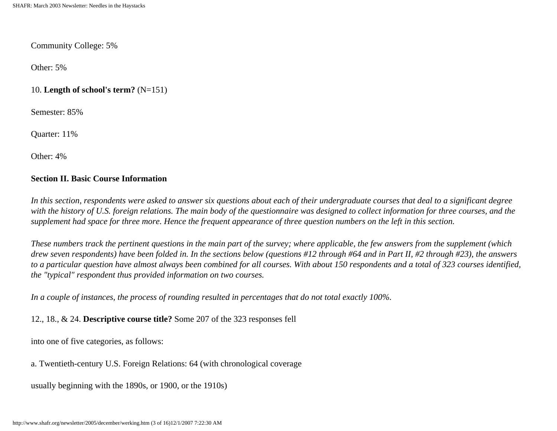#### Community College: 5%

Other: 5%

#### 10. **Length of school's term?** (N=151)

Semester: 85%

Quarter: 11%

Other: 4%

#### **Section II. Basic Course Information**

*In this section, respondents were asked to answer six questions about each of their undergraduate courses that deal to a significant degree with the history of U.S. foreign relations. The main body of the questionnaire was designed to collect information for three courses, and the supplement had space for three more. Hence the frequent appearance of three question numbers on the left in this section.* 

*These numbers track the pertinent questions in the main part of the survey; where applicable, the few answers from the supplement (which drew seven respondents) have been folded in. In the sections below (questions #12 through #64 and in Part II, #2 through #23), the answers to a particular question have almost always been combined for all courses. With about 150 respondents and a total of 323 courses identified, the "typical" respondent thus provided information on two courses.*

*In a couple of instances, the process of rounding resulted in percentages that do not total exactly 100%.* 

12., 18., & 24. **Descriptive course title?** Some 207 of the 323 responses fell

into one of five categories, as follows:

a. Twentieth-century U.S. Foreign Relations: 64 (with chronological coverage

usually beginning with the 1890s, or 1900, or the 1910s)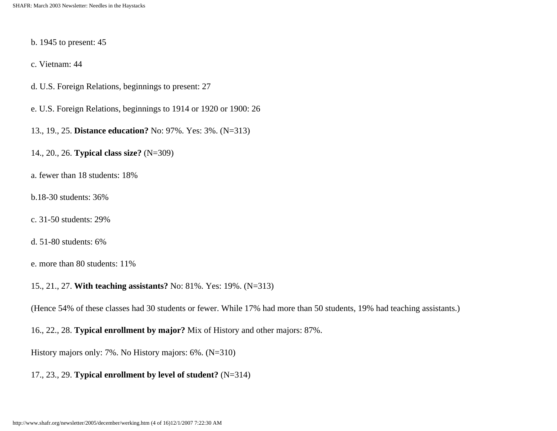- b. 1945 to present: 45
- c. Vietnam: 44
- d. U.S. Foreign Relations, beginnings to present: 27
- e. U.S. Foreign Relations, beginnings to 1914 or 1920 or 1900: 26
- 13., 19., 25. **Distance education?** No: 97%. Yes: 3%. (N=313)
- 14., 20., 26. **Typical class size?** (N=309)
- a. fewer than 18 students: 18%
- b.18-30 students: 36%
- c. 31-50 students: 29%
- d. 51-80 students: 6%
- e. more than 80 students: 11%
- 15., 21., 27. **With teaching assistants?** No: 81%. Yes: 19%. (N=313)
- (Hence 54% of these classes had 30 students or fewer. While 17% had more than 50 students, 19% had teaching assistants.)
- 16., 22., 28. **Typical enrollment by major?** Mix of History and other majors: 87%.
- History majors only: 7%. No History majors: 6%. (N=310)
- 17., 23., 29. **Typical enrollment by level of student?** (N=314)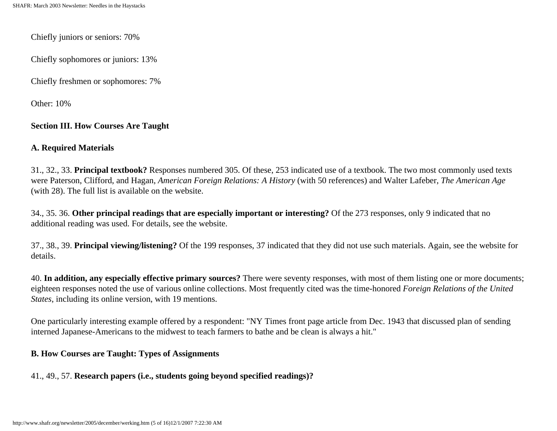Chiefly juniors or seniors: 70%

Chiefly sophomores or juniors: 13%

Chiefly freshmen or sophomores: 7%

Other: 10%

#### **Section III. How Courses Are Taught**

#### **A. Required Materials**

31., 32., 33. **Principal textbook?** Responses numbered 305. Of these, 253 indicated use of a textbook. The two most commonly used texts were Paterson, Clifford, and Hagan, *American Foreign Relations: A History* (with 50 references) and Walter Lafeber, *The American Age*  (with 28). The full list is available on the website.

34., 35. 36. **Other principal readings that are especially important or interesting?** Of the 273 responses, only 9 indicated that no additional reading was used. For details, see the website.

37., 38., 39. **Principal viewing/listening?** Of the 199 responses, 37 indicated that they did not use such materials. Again, see the website for details.

40. **In addition, any especially effective primary sources?** There were seventy responses, with most of them listing one or more documents; eighteen responses noted the use of various online collections. Most frequently cited was the time-honored *Foreign Relations of the United States*, including its online version, with 19 mentions.

One particularly interesting example offered by a respondent: "NY Times front page article from Dec. 1943 that discussed plan of sending interned Japanese-Americans to the midwest to teach farmers to bathe and be clean is always a hit."

#### **B. How Courses are Taught: Types of Assignments**

41., 49., 57. **Research papers (i.e., students going beyond specified readings)?**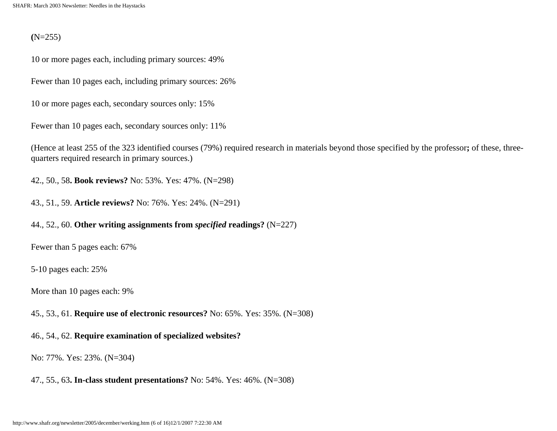#### **(**N=255)

10 or more pages each, including primary sources: 49%

Fewer than 10 pages each, including primary sources: 26%

10 or more pages each, secondary sources only: 15%

Fewer than 10 pages each, secondary sources only: 11%

(Hence at least 255 of the 323 identified courses (79%) required research in materials beyond those specified by the professor**;** of these, threequarters required research in primary sources.)

42., 50., 58**. Book reviews?** No: 53%. Yes: 47%. (N=298)

43., 51., 59. **Article reviews?** No: 76%. Yes: 24%. (N=291)

#### 44., 52., 60. **Other writing assignments from** *specified* **readings?** (N=227)

Fewer than 5 pages each: 67%

5-10 pages each: 25%

More than 10 pages each: 9%

45., 53., 61. **Require use of electronic resources?** No: 65%. Yes: 35%. (N=308)

#### 46., 54., 62. **Require examination of specialized websites?**

No: 77%. Yes: 23%. (N=304)

47., 55., 63**. In-class student presentations?** No: 54%. Yes: 46%. (N=308)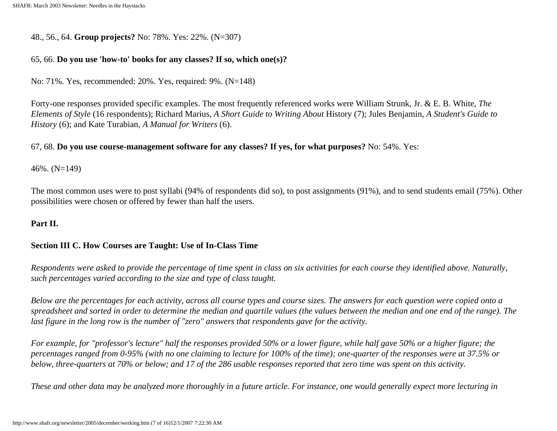48., 56., 64. **Group projects?** No: 78%. Yes: 22%. (N=307)

#### 65, 66. **Do you use 'how-to' books for any classes? If so, which one(s)?**

No: 71%. Yes, recommended: 20%. Yes, required: 9%. (N=148)

Forty-one responses provided specific examples. The most frequently referenced works were William Strunk, Jr. & E. B. White, *The Elements of Style* (16 respondents); Richard Marius, *A Short Guide to Writing About* History (7); Jules Benjamin, *A Student's Guide to History* (6); and Kate Turabian, *A Manual for Writers* (6).

#### 67, 68. **Do you use course-management software for any classes? If yes, for what purposes?** No: 54%. Yes:

46%. (N=149)

The most common uses were to post syllabi (94% of respondents did so), to post assignments (91%), and to send students email (75%). Other possibilities were chosen or offered by fewer than half the users.

#### **Part II.**

#### **Section III C. How Courses are Taught: Use of In-Class Time**

*Respondents were asked to provide the percentage of time spent in class on six activities for each course they identified above. Naturally, such percentages varied according to the size and type of class taught.* 

*Below are the percentages for each activity, across all course types and course sizes. The answers for each question were copied onto a spreadsheet and sorted in order to determine the median and quartile values (the values between the median and one end of the range). The last figure in the long row is the number of "zero" answers that respondents gave for the activity.* 

*For example, for "professor's lecture" half the responses provided 50% or a lower figure, while half gave 50% or a higher figure; the percentages ranged from 0-95% (with no one claiming to lecture for 100% of the time); one-quarter of the responses were at 37.5% or below, three-quarters at 70% or below; and 17 of the 286 usable responses reported that zero time was spent on this activity.* 

*These and other data may be analyzed more thoroughly in a future article. For instance, one would generally expect more lecturing in*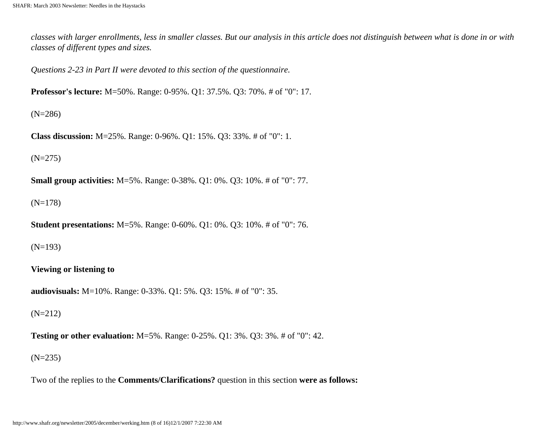*classes with larger enrollments, less in smaller classes. But our analysis in this article does not distinguish between what is done in or with classes of different types and sizes.* 

*Questions 2-23 in Part II were devoted to this section of the questionnaire.* 

**Professor's lecture:** M=50%. Range: 0-95%. Q1: 37.5%. Q3: 70%. # of "0": 17.

(N=286)

**Class discussion:** M=25%. Range: 0-96%. Q1: 15%. Q3: 33%. # of "0": 1.

(N=275)

**Small group activities:** M=5%. Range: 0-38%. Q1: 0%. Q3: 10%. # of "0": 77.

(N=178)

**Student presentations:** M=5%. Range: 0-60%. Q1: 0%. Q3: 10%. # of "0": 76.

(N=193)

**Viewing or listening to** 

**audiovisuals:** M=10%. Range: 0-33%. Q1: 5%. Q3: 15%. # of "0": 35.

(N=212)

**Testing or other evaluation:** M=5%. Range: 0-25%. Q1: 3%. Q3: 3%. # of "0": 42.

(N=235)

Two of the replies to the **Comments/Clarifications?** question in this section **were as follows:**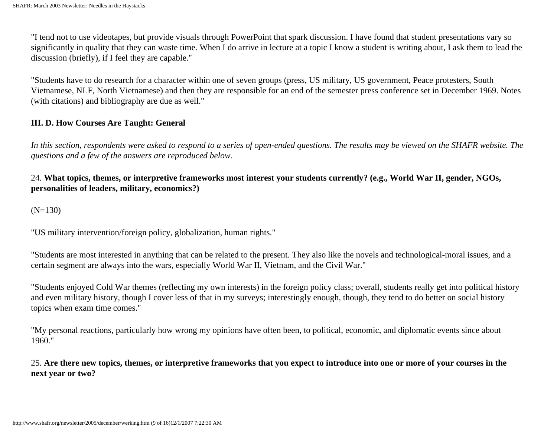"I tend not to use videotapes, but provide visuals through PowerPoint that spark discussion. I have found that student presentations vary so significantly in quality that they can waste time. When I do arrive in lecture at a topic I know a student is writing about, I ask them to lead the discussion (briefly), if I feel they are capable."

"Students have to do research for a character within one of seven groups (press, US military, US government, Peace protesters, South Vietnamese, NLF, North Vietnamese) and then they are responsible for an end of the semester press conference set in December 1969. Notes (with citations) and bibliography are due as well."

#### **III. D. How Courses Are Taught: General**

*In this section, respondents were asked to respond to a series of open-ended questions. The results may be viewed on the SHAFR website. The questions and a few of the answers are reproduced below.*

#### 24. **What topics, themes, or interpretive frameworks most interest your students currently? (e.g., World War II, gender, NGOs, personalities of leaders, military, economics?)**

(N=130)

"US military intervention/foreign policy, globalization, human rights."

"Students are most interested in anything that can be related to the present. They also like the novels and technological-moral issues, and a certain segment are always into the wars, especially World War II, Vietnam, and the Civil War."

"Students enjoyed Cold War themes (reflecting my own interests) in the foreign policy class; overall, students really get into political history and even military history, though I cover less of that in my surveys; interestingly enough, though, they tend to do better on social history topics when exam time comes."

"My personal reactions, particularly how wrong my opinions have often been, to political, economic, and diplomatic events since about 1960."

25. **Are there new topics, themes, or interpretive frameworks that you expect to introduce into one or more of your courses in the next year or two?**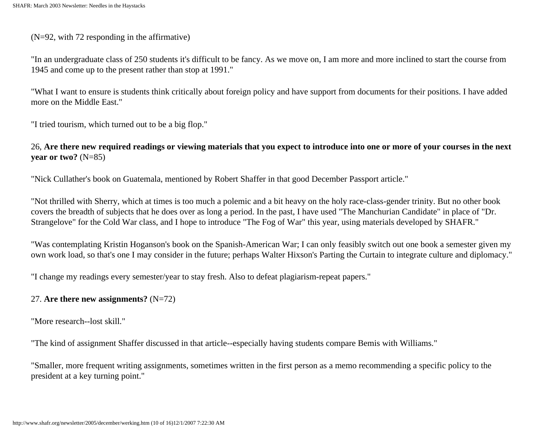#### (N=92, with 72 responding in the affirmative)

"In an undergraduate class of 250 students it's difficult to be fancy. As we move on, I am more and more inclined to start the course from 1945 and come up to the present rather than stop at 1991."

"What I want to ensure is students think critically about foreign policy and have support from documents for their positions. I have added more on the Middle East."

"I tried tourism, which turned out to be a big flop."

26, **Are there new required readings or viewing materials that you expect to introduce into one or more of your courses in the next year or two?** (N=85)

"Nick Cullather's book on Guatemala, mentioned by Robert Shaffer in that good December Passport article."

"Not thrilled with Sherry, which at times is too much a polemic and a bit heavy on the holy race-class-gender trinity. But no other book covers the breadth of subjects that he does over as long a period. In the past, I have used "The Manchurian Candidate" in place of "Dr. Strangelove" for the Cold War class, and I hope to introduce "The Fog of War" this year, using materials developed by SHAFR."

"Was contemplating Kristin Hoganson's book on the Spanish-American War; I can only feasibly switch out one book a semester given my own work load, so that's one I may consider in the future; perhaps Walter Hixson's Parting the Curtain to integrate culture and diplomacy."

"I change my readings every semester/year to stay fresh. Also to defeat plagiarism-repeat papers."

#### 27. **Are there new assignments?** (N=72)

"More research--lost skill."

"The kind of assignment Shaffer discussed in that article--especially having students compare Bemis with Williams."

"Smaller, more frequent writing assignments, sometimes written in the first person as a memo recommending a specific policy to the president at a key turning point."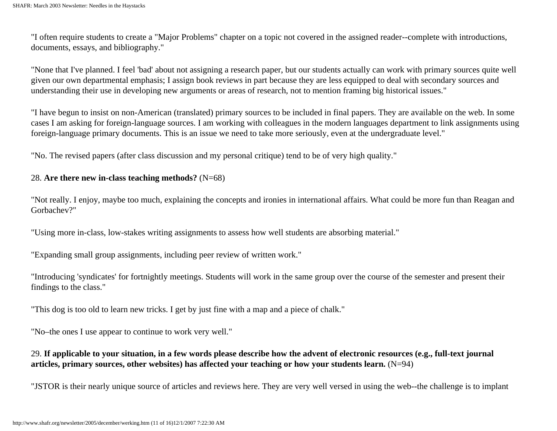"I often require students to create a "Major Problems" chapter on a topic not covered in the assigned reader--complete with introductions, documents, essays, and bibliography."

"None that I've planned. I feel 'bad' about not assigning a research paper, but our students actually can work with primary sources quite well given our own departmental emphasis; I assign book reviews in part because they are less equipped to deal with secondary sources and understanding their use in developing new arguments or areas of research, not to mention framing big historical issues."

"I have begun to insist on non-American (translated) primary sources to be included in final papers. They are available on the web. In some cases I am asking for foreign-language sources. I am working with colleagues in the modern languages department to link assignments using foreign-language primary documents. This is an issue we need to take more seriously, even at the undergraduate level."

"No. The revised papers (after class discussion and my personal critique) tend to be of very high quality."

#### 28. **Are there new in-class teaching methods?** (N=68)

"Not really. I enjoy, maybe too much, explaining the concepts and ironies in international affairs. What could be more fun than Reagan and Gorbachev?"

"Using more in-class, low-stakes writing assignments to assess how well students are absorbing material."

"Expanding small group assignments, including peer review of written work."

"Introducing 'syndicates' for fortnightly meetings. Students will work in the same group over the course of the semester and present their findings to the class."

"This dog is too old to learn new tricks. I get by just fine with a map and a piece of chalk."

"No–the ones I use appear to continue to work very well."

#### 29. **If applicable to your situation, in a few words please describe how the advent of electronic resources (e.g., full-text journal**  articles, primary sources, other websites) has affected your teaching or how your students learn. (N=94)

"JSTOR is their nearly unique source of articles and reviews here. They are very well versed in using the web--the challenge is to implant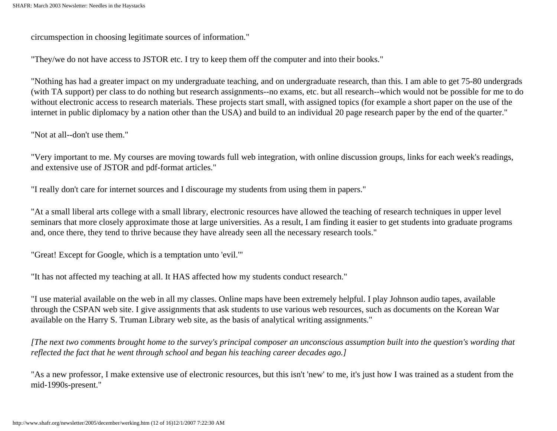circumspection in choosing legitimate sources of information."

"They/we do not have access to JSTOR etc. I try to keep them off the computer and into their books."

"Nothing has had a greater impact on my undergraduate teaching, and on undergraduate research, than this. I am able to get 75-80 undergrads (with TA support) per class to do nothing but research assignments--no exams, etc. but all research--which would not be possible for me to do without electronic access to research materials. These projects start small, with assigned topics (for example a short paper on the use of the internet in public diplomacy by a nation other than the USA) and build to an individual 20 page research paper by the end of the quarter."

"Not at all--don't use them."

"Very important to me. My courses are moving towards full web integration, with online discussion groups, links for each week's readings, and extensive use of JSTOR and pdf-format articles."

"I really don't care for internet sources and I discourage my students from using them in papers."

"At a small liberal arts college with a small library, electronic resources have allowed the teaching of research techniques in upper level seminars that more closely approximate those at large universities. As a result, I am finding it easier to get students into graduate programs and, once there, they tend to thrive because they have already seen all the necessary research tools."

"Great! Except for Google, which is a temptation unto 'evil.'"

"It has not affected my teaching at all. It HAS affected how my students conduct research."

"I use material available on the web in all my classes. Online maps have been extremely helpful. I play Johnson audio tapes, available through the CSPAN web site. I give assignments that ask students to use various web resources, such as documents on the Korean War available on the Harry S. Truman Library web site, as the basis of analytical writing assignments."

*[The next two comments brought home to the survey's principal composer an unconscious assumption built into the question's wording that reflected the fact that he went through school and began his teaching career decades ago.]* 

"As a new professor, I make extensive use of electronic resources, but this isn't 'new' to me, it's just how I was trained as a student from the mid-1990s-present."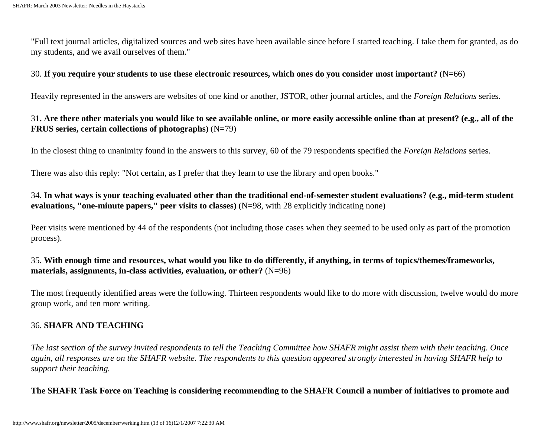"Full text journal articles, digitalized sources and web sites have been available since before I started teaching. I take them for granted, as do my students, and we avail ourselves of them."

#### 30. **If you require your students to use these electronic resources, which ones do you consider most important?** (N=66)

Heavily represented in the answers are websites of one kind or another, JSTOR, other journal articles, and the *Foreign Relations* series.

#### 31**. Are there other materials you would like to see available online, or more easily accessible online than at present? (e.g., all of the FRUS series, certain collections of photographs)** (N=79)

In the closest thing to unanimity found in the answers to this survey, 60 of the 79 respondents specified the *Foreign Relations* series.

There was also this reply: "Not certain, as I prefer that they learn to use the library and open books."

#### 34. **In what ways is your teaching evaluated other than the traditional end-of-semester student evaluations? (e.g., mid-term student evaluations, "one-minute papers," peer visits to classes)** (N=98, with 28 explicitly indicating none)

Peer visits were mentioned by 44 of the respondents (not including those cases when they seemed to be used only as part of the promotion process).

#### 35. **With enough time and resources, what would you like to do differently, if anything, in terms of topics/themes/frameworks, materials, assignments, in-class activities, evaluation, or other?** (N=96)

The most frequently identified areas were the following. Thirteen respondents would like to do more with discussion, twelve would do more group work, and ten more writing.

#### 36. **SHAFR AND TEACHING**

*The last section of the survey invited respondents to tell the Teaching Committee how SHAFR might assist them with their teaching. Once again, all responses are on the SHAFR website. The respondents to this question appeared strongly interested in having SHAFR help to support their teaching.*

#### **The SHAFR Task Force on Teaching is considering recommending to the SHAFR Council a number of initiatives to promote and**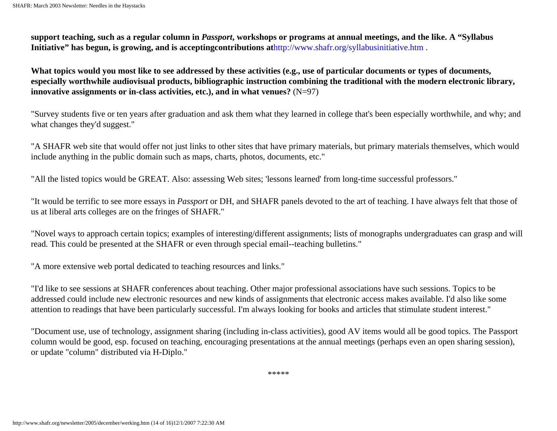**support teaching, such as a regular column in** *Passport***, workshops or programs at annual meetings, and the like. A "Syllabus Initiative" has begun, is growing, and is acceptingcontributions at**http://www.shafr.org/syllabusinitiative.htm .

**What topics would you most like to see addressed by these activities (e.g., use of particular documents or types of documents, especially worthwhile audiovisual products, bibliographic instruction combining the traditional with the modern electronic library, innovative assignments or in-class activities, etc.), and in what venues?** (N=97)

"Survey students five or ten years after graduation and ask them what they learned in college that's been especially worthwhile, and why; and what changes they'd suggest."

"A SHAFR web site that would offer not just links to other sites that have primary materials, but primary materials themselves, which would include anything in the public domain such as maps, charts, photos, documents, etc."

"All the listed topics would be GREAT. Also: assessing Web sites; 'lessons learned' from long-time successful professors."

"It would be terrific to see more essays in *Passport* or DH, and SHAFR panels devoted to the art of teaching. I have always felt that those of us at liberal arts colleges are on the fringes of SHAFR."

"Novel ways to approach certain topics; examples of interesting/different assignments; lists of monographs undergraduates can grasp and will read. This could be presented at the SHAFR or even through special email--teaching bulletins."

"A more extensive web portal dedicated to teaching resources and links."

"I'd like to see sessions at SHAFR conferences about teaching. Other major professional associations have such sessions. Topics to be addressed could include new electronic resources and new kinds of assignments that electronic access makes available. I'd also like some attention to readings that have been particularly successful. I'm always looking for books and articles that stimulate student interest."

"Document use, use of technology, assignment sharing (including in-class activities), good AV items would all be good topics. The Passport column would be good, esp. focused on teaching, encouraging presentations at the annual meetings (perhaps even an open sharing session), or update "column" distributed via H-Diplo."

\*\*\*\*\*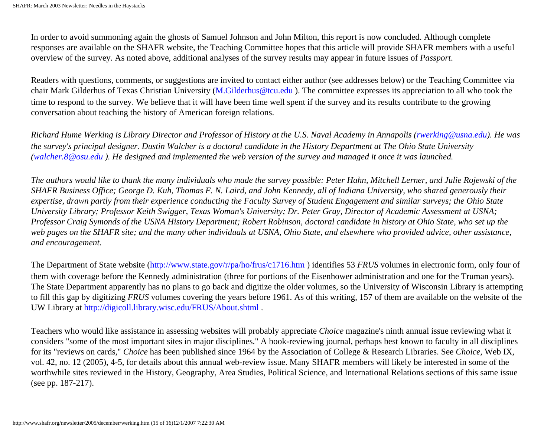In order to avoid summoning again the ghosts of Samuel Johnson and John Milton, this report is now concluded. Although complete responses are available on the SHAFR website, the Teaching Committee hopes that this article will provide SHAFR members with a useful overview of the survey. As noted above, additional analyses of the survey results may appear in future issues of *Passport*.

Readers with questions, comments, or suggestions are invited to contact either author (see addresses below) or the Teaching Committee via chair Mark Gilderhus of Texas Christian University (M.Gilderhus@tcu.edu ). The committee expresses its appreciation to all who took the time to respond to the survey. We believe that it will have been time well spent if the survey and its results contribute to the growing conversation about teaching the history of American foreign relations.

*Richard Hume Werking is Library Director and Professor of History at the U.S. Naval Academy in Annapolis (rwerking@usna.edu). He was the survey's principal designer. Dustin Walcher is a doctoral candidate in the History Department at The Ohio State University (walcher.8@osu.edu ). He designed and implemented the web version of the survey and managed it once it was launched.* 

*The authors would like to thank the many individuals who made the survey possible: Peter Hahn, Mitchell Lerner, and Julie Rojewski of the SHAFR Business Office; George D. Kuh, Thomas F. N. Laird, and John Kennedy, all of Indiana University, who shared generously their expertise, drawn partly from their experience conducting the Faculty Survey of Student Engagement and similar surveys; the Ohio State University Library; Professor Keith Swigger, Texas Woman's University; Dr. Peter Gray, Director of Academic Assessment at USNA; Professor Craig Symonds of the USNA History Department; Robert Robinson, doctoral candidate in history at Ohio State, who set up the*  web pages on the SHAFR site; and the many other individuals at USNA, Ohio State, and elsewhere who provided advice, other assistance, *and encouragement.* 

The Department of State website (http://www.state.gov/r/pa/ho/frus/c1716.htm ) identifies 53 *FRUS* volumes in electronic form, only four of them with coverage before the Kennedy administration (three for portions of the Eisenhower administration and one for the Truman years). The State Department apparently has no plans to go back and digitize the older volumes, so the University of Wisconsin Library is attempting to fill this gap by digitizing *FRUS* volumes covering the years before 1961. As of this writing, 157 of them are available on the website of the UW Library at http://digicoll.library.wisc.edu/FRUS/About.shtml .

Teachers who would like assistance in assessing websites will probably appreciate *Choice* magazine's ninth annual issue reviewing what it considers "some of the most important sites in major disciplines." A book-reviewing journal, perhaps best known to faculty in all disciplines for its "reviews on cards," *Choice* has been published since 1964 by the Association of College & Research Libraries. See *Choice*, Web IX, vol. 42, no. 12 (2005), 4-5, for details about this annual web-review issue. Many SHAFR members will likely be interested in some of the worthwhile sites reviewed in the History, Geography, Area Studies, Political Science, and International Relations sections of this same issue (see pp. 187-217).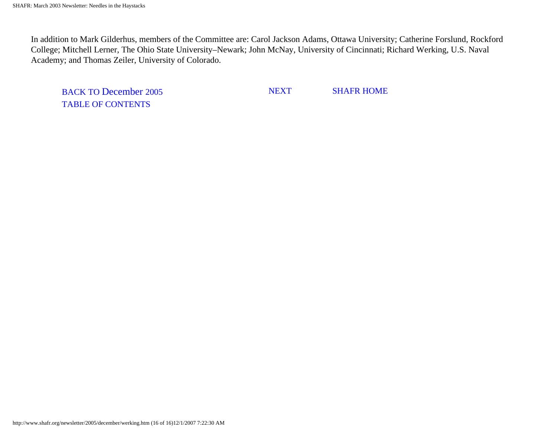In addition to Mark Gilderhus, members of the Committee are: Carol Jackson Adams, Ottawa University; Catherine Forslund, Rockford College; Mitchell Lerner, The Ohio State University–Newark; John McNay, University of Cincinnati; Richard Werking, U.S. Naval Academy; and Thomas Zeiler, University of Colorado.

BACK TO December 2005 TABLE OF CONTENTS

NEXT SHAFR HOME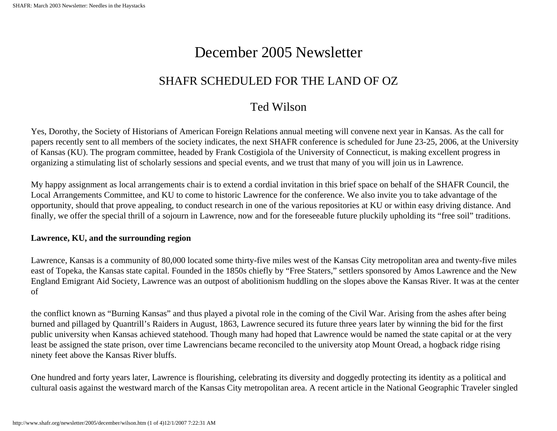# December 2005 Newsletter

### SHAFR SCHEDULED FOR THE LAND OF OZ

## Ted Wilson

<span id="page-42-0"></span>Yes, Dorothy, the Society of Historians of American Foreign Relations annual meeting will convene next year in Kansas. As the call for papers recently sent to all members of the society indicates, the next SHAFR conference is scheduled for June 23-25, 2006, at the University of Kansas (KU). The program committee, headed by Frank Costigiola of the University of Connecticut, is making excellent progress in organizing a stimulating list of scholarly sessions and special events, and we trust that many of you will join us in Lawrence.

My happy assignment as local arrangements chair is to extend a cordial invitation in this brief space on behalf of the SHAFR Council, the Local Arrangements Committee, and KU to come to historic Lawrence for the conference. We also invite you to take advantage of the opportunity, should that prove appealing, to conduct research in one of the various repositories at KU or within easy driving distance. And finally, we offer the special thrill of a sojourn in Lawrence, now and for the foreseeable future pluckily upholding its "free soil" traditions.

#### **Lawrence, KU, and the surrounding region**

Lawrence, Kansas is a community of 80,000 located some thirty-five miles west of the Kansas City metropolitan area and twenty-five miles east of Topeka, the Kansas state capital. Founded in the 1850s chiefly by "Free Staters," settlers sponsored by Amos Lawrence and the New England Emigrant Aid Society, Lawrence was an outpost of abolitionism huddling on the slopes above the Kansas River. It was at the center of

the conflict known as "Burning Kansas" and thus played a pivotal role in the coming of the Civil War. Arising from the ashes after being burned and pillaged by Quantrill's Raiders in August, 1863, Lawrence secured its future three years later by winning the bid for the first public university when Kansas achieved statehood. Though many had hoped that Lawrence would be named the state capital or at the very least be assigned the state prison, over time Lawrencians became reconciled to the university atop Mount Oread, a hogback ridge rising ninety feet above the Kansas River bluffs.

One hundred and forty years later, Lawrence is flourishing, celebrating its diversity and doggedly protecting its identity as a political and cultural oasis against the westward march of the Kansas City metropolitan area. A recent article in the National Geographic Traveler singled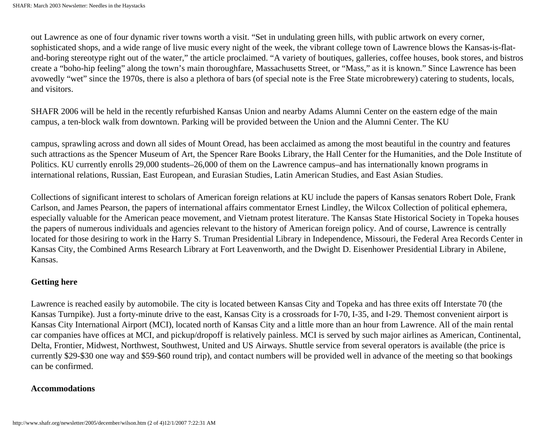out Lawrence as one of four dynamic river towns worth a visit. "Set in undulating green hills, with public artwork on every corner, sophisticated shops, and a wide range of live music every night of the week, the vibrant college town of Lawrence blows the Kansas-is-flatand-boring stereotype right out of the water," the article proclaimed. "A variety of boutiques, galleries, coffee houses, book stores, and bistros create a "boho-hip feeling" along the town's main thoroughfare, Massachusetts Street, or "Mass," as it is known." Since Lawrence has been avowedly "wet" since the 1970s, there is also a plethora of bars (of special note is the Free State microbrewery) catering to students, locals, and visitors.

SHAFR 2006 will be held in the recently refurbished Kansas Union and nearby Adams Alumni Center on the eastern edge of the main campus, a ten-block walk from downtown. Parking will be provided between the Union and the Alumni Center. The KU

campus, sprawling across and down all sides of Mount Oread, has been acclaimed as among the most beautiful in the country and features such attractions as the Spencer Museum of Art, the Spencer Rare Books Library, the Hall Center for the Humanities, and the Dole Institute of Politics. KU currently enrolls 29,000 students–26,000 of them on the Lawrence campus–and has internationally known programs in international relations, Russian, East European, and Eurasian Studies, Latin American Studies, and East Asian Studies.

Collections of significant interest to scholars of American foreign relations at KU include the papers of Kansas senators Robert Dole, Frank Carlson, and James Pearson, the papers of international affairs commentator Ernest Lindley, the Wilcox Collection of political ephemera, especially valuable for the American peace movement, and Vietnam protest literature. The Kansas State Historical Society in Topeka houses the papers of numerous individuals and agencies relevant to the history of American foreign policy. And of course, Lawrence is centrally located for those desiring to work in the Harry S. Truman Presidential Library in Independence, Missouri, the Federal Area Records Center in Kansas City, the Combined Arms Research Library at Fort Leavenworth, and the Dwight D. Eisenhower Presidential Library in Abilene, Kansas.

#### **Getting here**

Lawrence is reached easily by automobile. The city is located between Kansas City and Topeka and has three exits off Interstate 70 (the Kansas Turnpike). Just a forty-minute drive to the east, Kansas City is a crossroads for I-70, I-35, and I-29. Themost convenient airport is Kansas City International Airport (MCI), located north of Kansas City and a little more than an hour from Lawrence. All of the main rental car companies have offices at MCI, and pickup/dropoff is relatively painless. MCI is served by such major airlines as American, Continental, Delta, Frontier, Midwest, Northwest, Southwest, United and US Airways. Shuttle service from several operators is available (the price is currently \$29-\$30 one way and \$59-\$60 round trip), and contact numbers will be provided well in advance of the meeting so that bookings can be confirmed.

#### **Accommodations**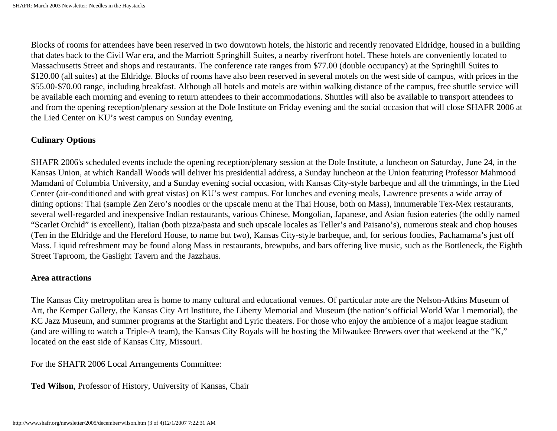Blocks of rooms for attendees have been reserved in two downtown hotels, the historic and recently renovated Eldridge, housed in a building that dates back to the Civil War era, and the Marriott Springhill Suites, a nearby riverfront hotel. These hotels are conveniently located to Massachusetts Street and shops and restaurants. The conference rate ranges from \$77.00 (double occupancy) at the Springhill Suites to \$120.00 (all suites) at the Eldridge. Blocks of rooms have also been reserved in several motels on the west side of campus, with prices in the \$55.00-\$70.00 range, including breakfast. Although all hotels and motels are within walking distance of the campus, free shuttle service will be available each morning and evening to return attendees to their accommodations. Shuttles will also be available to transport attendees to and from the opening reception/plenary session at the Dole Institute on Friday evening and the social occasion that will close SHAFR 2006 at the Lied Center on KU's west campus on Sunday evening.

#### **Culinary Options**

SHAFR 2006's scheduled events include the opening reception/plenary session at the Dole Institute, a luncheon on Saturday, June 24, in the Kansas Union, at which Randall Woods will deliver his presidential address, a Sunday luncheon at the Union featuring Professor Mahmood Mamdani of Columbia University, and a Sunday evening social occasion, with Kansas City-style barbeque and all the trimmings, in the Lied Center (air-conditioned and with great vistas) on KU's west campus. For lunches and evening meals, Lawrence presents a wide array of dining options: Thai (sample Zen Zero's noodles or the upscale menu at the Thai House, both on Mass), innumerable Tex-Mex restaurants, several well-regarded and inexpensive Indian restaurants, various Chinese, Mongolian, Japanese, and Asian fusion eateries (the oddly named "Scarlet Orchid" is excellent), Italian (both pizza/pasta and such upscale locales as Teller's and Paisano's), numerous steak and chop houses (Ten in the Eldridge and the Hereford House, to name but two), Kansas City-style barbeque, and, for serious foodies, Pachamama's just off Mass. Liquid refreshment may be found along Mass in restaurants, brewpubs, and bars offering live music, such as the Bottleneck, the Eighth Street Taproom, the Gaslight Tavern and the Jazzhaus.

#### **Area attractions**

The Kansas City metropolitan area is home to many cultural and educational venues. Of particular note are the Nelson-Atkins Museum of Art, the Kemper Gallery, the Kansas City Art Institute, the Liberty Memorial and Museum (the nation's official World War I memorial), the KC Jazz Museum, and summer programs at the Starlight and Lyric theaters. For those who enjoy the ambience of a major league stadium (and are willing to watch a Triple-A team), the Kansas City Royals will be hosting the Milwaukee Brewers over that weekend at the "K," located on the east side of Kansas City, Missouri.

For the SHAFR 2006 Local Arrangements Committee:

**Ted Wilson**, Professor of History, University of Kansas, Chair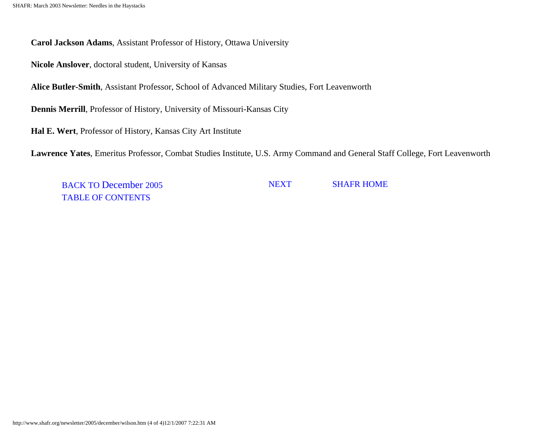**Carol Jackson Adams**, Assistant Professor of History, Ottawa University

**Nicole Anslover**, doctoral student, University of Kansas

**Alice Butler-Smith**, Assistant Professor, School of Advanced Military Studies, Fort Leavenworth

**Dennis Merrill**, Professor of History, University of Missouri-Kansas City

**Hal E. Wert**, Professor of History, Kansas City Art Institute

**Lawrence Yates**, Emeritus Professor, Combat Studies Institute, U.S. Army Command and General Staff College, Fort Leavenworth

BACK TO December 2005 TABLE OF CONTENTS

NEXT SHAFR HOME

http://www.shafr.org/newsletter/2005/december/wilson.htm (4 of 4)12/1/2007 7:22:31 AM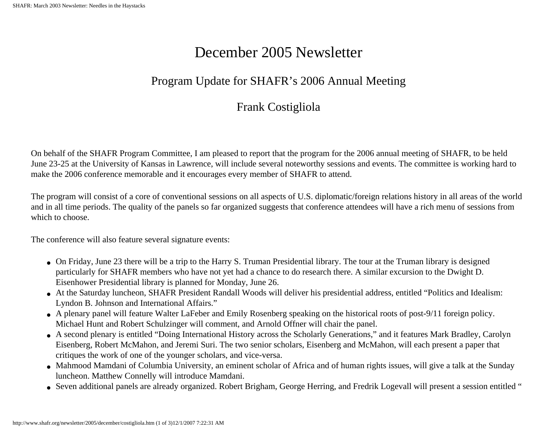# December 2005 Newsletter

# Program Update for SHAFR's 2006 Annual Meeting

## Frank Costigliola

<span id="page-46-0"></span>On behalf of the SHAFR Program Committee, I am pleased to report that the program for the 2006 annual meeting of SHAFR, to be held June 23-25 at the University of Kansas in Lawrence, will include several noteworthy sessions and events. The committee is working hard to make the 2006 conference memorable and it encourages every member of SHAFR to attend.

The program will consist of a core of conventional sessions on all aspects of U.S. diplomatic/foreign relations history in all areas of the world and in all time periods. The quality of the panels so far organized suggests that conference attendees will have a rich menu of sessions from which to choose.

The conference will also feature several signature events:

- On Friday, June 23 there will be a trip to the Harry S. Truman Presidential library. The tour at the Truman library is designed particularly for SHAFR members who have not yet had a chance to do research there. A similar excursion to the Dwight D. Eisenhower Presidential library is planned for Monday, June 26.
- At the Saturday luncheon, SHAFR President Randall Woods will deliver his presidential address, entitled "Politics and Idealism: Lyndon B. Johnson and International Affairs."
- A plenary panel will feature Walter LaFeber and Emily Rosenberg speaking on the historical roots of post-9/11 foreign policy. Michael Hunt and Robert Schulzinger will comment, and Arnold Offner will chair the panel.
- A second plenary is entitled "Doing International History across the Scholarly Generations," and it features Mark Bradley, Carolyn Eisenberg, Robert McMahon, and Jeremi Suri. The two senior scholars, Eisenberg and McMahon, will each present a paper that critiques the work of one of the younger scholars, and vice-versa.
- Mahmood Mamdani of Columbia University, an eminent scholar of Africa and of human rights issues, will give a talk at the Sunday luncheon. Matthew Connelly will introduce Mamdani.
- Seven additional panels are already organized. Robert Brigham, George Herring, and Fredrik Logevall will present a session entitled "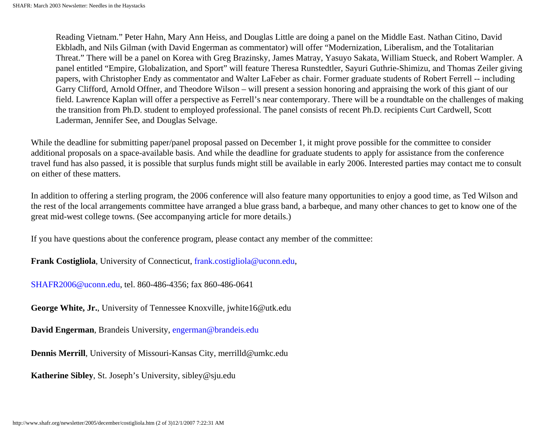Reading Vietnam." Peter Hahn, Mary Ann Heiss, and Douglas Little are doing a panel on the Middle East. Nathan Citino, David Ekbladh, and Nils Gilman (with David Engerman as commentator) will offer "Modernization, Liberalism, and the Totalitarian Threat." There will be a panel on Korea with Greg Brazinsky, James Matray, Yasuyo Sakata, William Stueck, and Robert Wampler. A panel entitled "Empire, Globalization, and Sport" will feature Theresa Runstedtler, Sayuri Guthrie-Shimizu, and Thomas Zeiler giving papers, with Christopher Endy as commentator and Walter LaFeber as chair. Former graduate students of Robert Ferrell -- including Garry Clifford, Arnold Offner, and Theodore Wilson – will present a session honoring and appraising the work of this giant of our field. Lawrence Kaplan will offer a perspective as Ferrell's near contemporary. There will be a roundtable on the challenges of making the transition from Ph.D. student to employed professional. The panel consists of recent Ph.D. recipients Curt Cardwell, Scott Laderman, Jennifer See, and Douglas Selvage.

While the deadline for submitting paper/panel proposal passed on December 1, it might prove possible for the committee to consider additional proposals on a space-available basis. And while the deadline for graduate students to apply for assistance from the conference travel fund has also passed, it is possible that surplus funds might still be available in early 2006. Interested parties may contact me to consult on either of these matters.

In addition to offering a sterling program, the 2006 conference will also feature many opportunities to enjoy a good time, as Ted Wilson and the rest of the local arrangements committee have arranged a blue grass band, a barbeque, and many other chances to get to know one of the great mid-west college towns. (See accompanying article for more details.)

If you have questions about the conference program, please contact any member of the committee:

**Frank Costigliola**, University of Connecticut, frank.costigliola@uconn.edu,

SHAFR2006@uconn.edu, tel. 860-486-4356; fax 860-486-0641

**George White, Jr.**, University of Tennessee Knoxville, jwhite16@utk.edu

**David Engerman**, Brandeis University, engerman@brandeis.edu

**Dennis Merrill**, University of Missouri-Kansas City, merrilld@umkc.edu

**Katherine Sibley**, St. Joseph's University, sibley@sju.edu